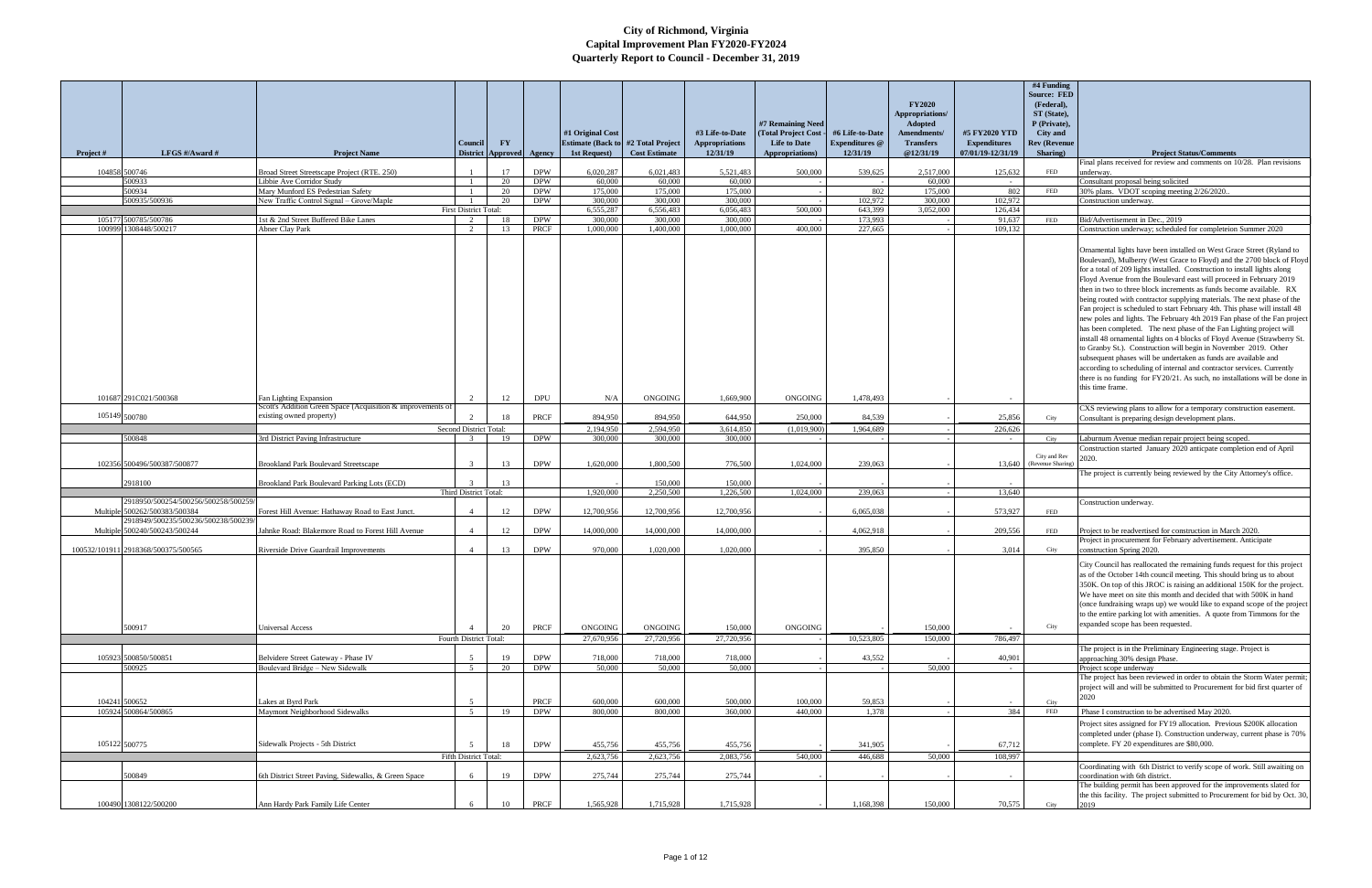| Project #     | LFGS $\#/$ Award $\#$                                                 | <b>Project Name</b>                                                                   | Council                      | $\mathbf{F}\mathbf{Y}$<br>District Approved Agency |                          | #1 Original Cost<br>1st Request) | <b>Estimate (Back to #2 Total Project</b><br><b>Cost Estimate</b> | #3 Life-to-Date<br><b>Appropriations</b><br>12/31/19 | #7 Remaining Need<br>(Total Project Cost<br><b>Life to Date</b><br>Appropriations) | #6 Life-to-Date<br><b>Expenditures</b> @<br>12/31/19 | <b>FY2020</b><br>Appropriations/<br>Adopted<br><b>Amendments/</b><br><b>Transfers</b><br>@12/31/19 | #5 FY2020 YTD<br><b>Expenditures</b><br>07/01/19-12/31/19 | #4 Funding<br><b>Source: FED</b><br>(Federal),<br>ST (State),<br>P (Private),<br>City and<br><b>Rev (Revenue</b><br>Sharing) | <b>Project Status/Comments</b>                                                                                                                                                                                                                                                                                                                                                                                                                                                                                                                                                                                                                                                                                                                                                                                                                                                                                                                                                                                                                                                      |
|---------------|-----------------------------------------------------------------------|---------------------------------------------------------------------------------------|------------------------------|----------------------------------------------------|--------------------------|----------------------------------|-------------------------------------------------------------------|------------------------------------------------------|------------------------------------------------------------------------------------|------------------------------------------------------|----------------------------------------------------------------------------------------------------|-----------------------------------------------------------|------------------------------------------------------------------------------------------------------------------------------|-------------------------------------------------------------------------------------------------------------------------------------------------------------------------------------------------------------------------------------------------------------------------------------------------------------------------------------------------------------------------------------------------------------------------------------------------------------------------------------------------------------------------------------------------------------------------------------------------------------------------------------------------------------------------------------------------------------------------------------------------------------------------------------------------------------------------------------------------------------------------------------------------------------------------------------------------------------------------------------------------------------------------------------------------------------------------------------|
|               |                                                                       |                                                                                       |                              |                                                    |                          |                                  |                                                                   |                                                      |                                                                                    |                                                      |                                                                                                    |                                                           |                                                                                                                              | Final plans received for review and comments on 10/28. Plan revisions                                                                                                                                                                                                                                                                                                                                                                                                                                                                                                                                                                                                                                                                                                                                                                                                                                                                                                                                                                                                               |
|               | 104858 500746<br>500933                                               | Broad Street Streetscape Project (RTE. 250)<br>Libbie Ave Corridor Study              |                              | 17                                                 | <b>DPW</b><br><b>DPW</b> | 6,020,287<br>60,000              | 6,021,483<br>60,000                                               | 5,521,483<br>60,000                                  | 500,000                                                                            | 539,625                                              | 2,517,000<br>60,000                                                                                | 125,632                                                   | <b>FED</b>                                                                                                                   | underway.                                                                                                                                                                                                                                                                                                                                                                                                                                                                                                                                                                                                                                                                                                                                                                                                                                                                                                                                                                                                                                                                           |
|               | 500934                                                                | Mary Munford ES Pedestrian Safety                                                     |                              | 20<br>20                                           | <b>DPW</b>               | 175,000                          | 175,000                                                           | 175,000                                              |                                                                                    | 802                                                  | 175,000                                                                                            | 802                                                       | FED                                                                                                                          | Consultant proposal being solicited<br>30% plans. VDOT scoping meeting 2/26/2020.                                                                                                                                                                                                                                                                                                                                                                                                                                                                                                                                                                                                                                                                                                                                                                                                                                                                                                                                                                                                   |
|               | 500935/500936                                                         | New Traffic Control Signal - Grove/Maple                                              |                              | 20                                                 | <b>DPW</b>               | 300,000                          | 300,000                                                           | 300,000                                              |                                                                                    | 102,972                                              | 300,000                                                                                            | 102,972                                                   |                                                                                                                              | Construction underway.                                                                                                                                                                                                                                                                                                                                                                                                                                                                                                                                                                                                                                                                                                                                                                                                                                                                                                                                                                                                                                                              |
|               |                                                                       |                                                                                       | <b>First District Total:</b> |                                                    |                          | 6,555,287                        | 6.556.483                                                         | 6.056.483                                            | 500,000                                                                            | 643.399                                              | 3.052.000                                                                                          | 126,434                                                   |                                                                                                                              |                                                                                                                                                                                                                                                                                                                                                                                                                                                                                                                                                                                                                                                                                                                                                                                                                                                                                                                                                                                                                                                                                     |
|               | 105177 500785/500786<br>100999 1308448/500217                         | 1st & 2nd Street Buffered Bike Lanes                                                  | 2  <br>2                     | 18                                                 | <b>DPW</b><br>PRCF       | 300,000<br>1,000,000             | 300,000<br>1.400.000                                              | 300,000<br>1,000,000                                 | 400.000                                                                            | 173,993                                              |                                                                                                    | 91,637                                                    | <b>FED</b>                                                                                                                   | Bid/Advertisement in Dec., 2019<br>Construction underway; scheduled for completeion Summer 2020                                                                                                                                                                                                                                                                                                                                                                                                                                                                                                                                                                                                                                                                                                                                                                                                                                                                                                                                                                                     |
|               |                                                                       | Abner Clay Park                                                                       |                              | 13                                                 |                          |                                  |                                                                   |                                                      |                                                                                    | 227,665                                              |                                                                                                    | 109,132                                                   |                                                                                                                              | Ornamental lights have been installed on West Grace Street (Ryland to<br>Boulevard), Mulberry (West Grace to Floyd) and the 2700 block of Floyd<br>for a total of 209 lights installed. Construction to install lights along<br>Floyd Avenue from the Boulevard east will proceed in February 2019<br>then in two to three block increments as funds become available. RX<br>being routed with contractor supplying materials. The next phase of the<br>Fan project is scheduled to start February 4th. This phase will install 48<br>new poles and lights. The February 4th 2019 Fan phase of the Fan project<br>has been completed. The next phase of the Fan Lighting project will<br>install 48 ornamental lights on 4 blocks of Floyd Avenue (Strawberry St.<br>to Granby St.). Construction will begin in November 2019. Other<br>subsequent phases will be undertaken as funds are available and<br>according to scheduling of internal and contractor services. Currently<br>there is no funding for FY20/21. As such, no installations will be done in<br>this time frame. |
|               | 101687 291C021/500368                                                 | Fan Lighting Expansion<br>Scott's Addition Green Space (Acquisition & improvements of |                              | 12                                                 | <b>DPU</b>               | N/A                              | <b>ONGOING</b>                                                    | 1.669.900                                            | <b>ONGOING</b>                                                                     | 1,478,493                                            |                                                                                                    |                                                           |                                                                                                                              | CXS reviewing plans to allow for a temporary construction easement.                                                                                                                                                                                                                                                                                                                                                                                                                                                                                                                                                                                                                                                                                                                                                                                                                                                                                                                                                                                                                 |
| 105149 500780 |                                                                       | existing owned property)                                                              |                              | 18                                                 | PRCF                     | 894,950                          | 894,950                                                           | 644,950                                              | 250,000                                                                            | 84.539                                               |                                                                                                    | 25,856                                                    | City                                                                                                                         | Consultant is preparing design development plans.                                                                                                                                                                                                                                                                                                                                                                                                                                                                                                                                                                                                                                                                                                                                                                                                                                                                                                                                                                                                                                   |
|               |                                                                       |                                                                                       | Second District Total:       |                                                    |                          | 2.194.950                        | 2.594.950                                                         | 3,614,850                                            | (1,019,900)                                                                        | 1,964,689                                            |                                                                                                    | 226,626                                                   |                                                                                                                              |                                                                                                                                                                                                                                                                                                                                                                                                                                                                                                                                                                                                                                                                                                                                                                                                                                                                                                                                                                                                                                                                                     |
|               | 500848                                                                | 3rd District Paving Infrastructure                                                    |                              | 19                                                 | <b>DPW</b>               | 300,000                          | 300,000                                                           | 300,000                                              |                                                                                    |                                                      |                                                                                                    |                                                           | City                                                                                                                         | Laburnum Avenue median repair project being scoped.<br>Construction started January 2020 anticpate completion end of April                                                                                                                                                                                                                                                                                                                                                                                                                                                                                                                                                                                                                                                                                                                                                                                                                                                                                                                                                          |
|               | 102356 500496/500387/500877                                           | <b>Brookland Park Boulevard Streetscape</b>                                           | $\mathcal{R}$                | 13                                                 | <b>DPW</b>               | 1,620,000                        | 1,800,500                                                         | 776,500                                              | 1,024,000                                                                          | 239,063                                              |                                                                                                    | 13,640                                                    | City and Rev<br>(Revenue Sharing)                                                                                            | 2020.<br>The project is currently being reviewed by the City Attorney's office.                                                                                                                                                                                                                                                                                                                                                                                                                                                                                                                                                                                                                                                                                                                                                                                                                                                                                                                                                                                                     |
|               | 2918100                                                               | Brookland Park Boulevard Parking Lots (ECD)                                           |                              | 13                                                 |                          |                                  | 150,000                                                           | 150,000                                              |                                                                                    |                                                      |                                                                                                    |                                                           |                                                                                                                              |                                                                                                                                                                                                                                                                                                                                                                                                                                                                                                                                                                                                                                                                                                                                                                                                                                                                                                                                                                                                                                                                                     |
|               |                                                                       |                                                                                       | Third District Total:        |                                                    |                          | 1,920,000                        | 2.250,500                                                         | 1,226,500                                            | 1,024,000                                                                          | 239,063                                              |                                                                                                    | 13,640                                                    |                                                                                                                              |                                                                                                                                                                                                                                                                                                                                                                                                                                                                                                                                                                                                                                                                                                                                                                                                                                                                                                                                                                                                                                                                                     |
|               | 2918950/500254/500256/500258/500259/<br>Multiple 500262/500383/500384 | Forest Hill Avenue: Hathaway Road to East Junct.                                      |                              | 12                                                 | <b>DPW</b>               | 12,700,956                       | 12,700,956                                                        | 12,700,956                                           |                                                                                    | 6,065,038                                            |                                                                                                    | 573,927                                                   | FED                                                                                                                          | Construction underway.                                                                                                                                                                                                                                                                                                                                                                                                                                                                                                                                                                                                                                                                                                                                                                                                                                                                                                                                                                                                                                                              |
|               | 2918949/500235/500236/500238/500239                                   |                                                                                       |                              |                                                    |                          |                                  |                                                                   |                                                      |                                                                                    |                                                      |                                                                                                    |                                                           |                                                                                                                              |                                                                                                                                                                                                                                                                                                                                                                                                                                                                                                                                                                                                                                                                                                                                                                                                                                                                                                                                                                                                                                                                                     |
|               | Multiple 500240/500243/500244                                         | Jahnke Road: Blakemore Road to Forest Hill Avenue                                     | $\mathbf{\Delta}$            | 12                                                 | <b>DPW</b>               | 14,000,000                       | 14,000,000                                                        | 14,000,000                                           |                                                                                    | 4,062,918                                            |                                                                                                    | 209,556                                                   | FED                                                                                                                          | Project to be readvertised for construction in March 2020.                                                                                                                                                                                                                                                                                                                                                                                                                                                                                                                                                                                                                                                                                                                                                                                                                                                                                                                                                                                                                          |
|               | 100532/101911 2918368/500375/500565                                   | Riverside Drive Guardrail Improvements                                                | $\mathbf{\Delta}$            | 13                                                 | <b>DPW</b>               | 970,000                          | 1.020.000                                                         | 1.020.000                                            |                                                                                    | 395,850                                              |                                                                                                    | 3,014                                                     | City                                                                                                                         | Project in procurement for February advertisement. Anticipate<br>construction Spring 2020.                                                                                                                                                                                                                                                                                                                                                                                                                                                                                                                                                                                                                                                                                                                                                                                                                                                                                                                                                                                          |
|               | 500917                                                                | <b>Universal Access</b>                                                               |                              | 20                                                 | PRCF                     | ONGOING                          | ONGOING                                                           | 150,000                                              | ONGOING                                                                            |                                                      | 150,000                                                                                            |                                                           | City                                                                                                                         | City Council has reallocated the remaining funds request for this project<br>as of the October 14th council meeting. This should bring us to about<br>350K. On top of this JROC is raising an additional 150K for the project.<br>We have meet on site this month and decided that with 500K in hand<br>(once fundraising wraps up) we would like to expand scope of the project<br>to the entire parking lot with amenities. A quote from Timmons for the<br>expanded scope has been requested.                                                                                                                                                                                                                                                                                                                                                                                                                                                                                                                                                                                    |
|               |                                                                       |                                                                                       | Fourth District Total:       |                                                    |                          | 27,670,956                       | 27,720,956                                                        | 27,720,956                                           |                                                                                    | 10,523,805                                           | 150,000                                                                                            | 786,497                                                   |                                                                                                                              | The project is in the Preliminary Engineering stage. Project is                                                                                                                                                                                                                                                                                                                                                                                                                                                                                                                                                                                                                                                                                                                                                                                                                                                                                                                                                                                                                     |
|               | 105923 500850/500851                                                  | Belvidere Street Gateway - Phase IV                                                   | $\sim$                       | 19                                                 | <b>DPW</b>               | 718,000                          | 718,000                                                           | 718,000                                              |                                                                                    | 43,552                                               |                                                                                                    | 40,901                                                    |                                                                                                                              | approaching 30% design Phase.                                                                                                                                                                                                                                                                                                                                                                                                                                                                                                                                                                                                                                                                                                                                                                                                                                                                                                                                                                                                                                                       |
|               | 500925                                                                | Boulevard Bridge - New Sidewalk                                                       | 5                            | 20                                                 | <b>DPW</b>               | 50,000                           | 50,000                                                            | 50,000                                               |                                                                                    |                                                      | 50,000                                                                                             | $\sim$                                                    |                                                                                                                              | Project scope underway                                                                                                                                                                                                                                                                                                                                                                                                                                                                                                                                                                                                                                                                                                                                                                                                                                                                                                                                                                                                                                                              |
| 104241 500652 |                                                                       | Lakes at Byrd Park                                                                    | $\sim$                       |                                                    | PRCF                     | 600,000                          | 600,000                                                           | 500,000                                              | 100,000                                                                            | 59,853                                               |                                                                                                    |                                                           | City                                                                                                                         | The project has been reviewed in order to obtain the Storm Water permit;<br>project will and will be submitted to Procurement for bid first quarter of<br>2020                                                                                                                                                                                                                                                                                                                                                                                                                                                                                                                                                                                                                                                                                                                                                                                                                                                                                                                      |
|               | 105924 500864/500865                                                  | Maymont Neighborhood Sidewalks                                                        | 5 <sup>5</sup>               | 19                                                 | <b>DPW</b>               | 800,000                          | 800,000                                                           | 360,000                                              | 440,000                                                                            | 1,378                                                |                                                                                                    | 384                                                       | <b>FED</b>                                                                                                                   | Phase I construction to be advertised May 2020.                                                                                                                                                                                                                                                                                                                                                                                                                                                                                                                                                                                                                                                                                                                                                                                                                                                                                                                                                                                                                                     |
|               | 105122 500775                                                         | Sidewalk Projects - 5th District                                                      | Fifth District Total:        | 18                                                 | <b>DPW</b>               | 455,756<br>2,623,756             | 455,756<br>2,623,756                                              | 455,756<br>2,083,756                                 | 540,000                                                                            | 341,905<br>446,688                                   | 50,000                                                                                             | 67,712<br>108,997                                         |                                                                                                                              | Project sites assigned for FY19 allocation. Previous \$200K allocation<br>completed under (phase I). Construction underway, current phase is 70%<br>complete. FY 20 expenditures are \$80,000.                                                                                                                                                                                                                                                                                                                                                                                                                                                                                                                                                                                                                                                                                                                                                                                                                                                                                      |
|               |                                                                       |                                                                                       |                              |                                                    |                          |                                  |                                                                   |                                                      |                                                                                    |                                                      |                                                                                                    |                                                           |                                                                                                                              | Coordinating with 6th District to verify scope of work. Still awaiting on                                                                                                                                                                                                                                                                                                                                                                                                                                                                                                                                                                                                                                                                                                                                                                                                                                                                                                                                                                                                           |
|               | 500849                                                                | 6th District Street Paving, Sidewalks, & Green Space                                  |                              | 19                                                 | <b>DPW</b>               | 275,744                          | 275,744                                                           | 275,744                                              |                                                                                    |                                                      |                                                                                                    |                                                           |                                                                                                                              | coordination with 6th district.                                                                                                                                                                                                                                                                                                                                                                                                                                                                                                                                                                                                                                                                                                                                                                                                                                                                                                                                                                                                                                                     |
|               | 100490 1308122/500200                                                 | Ann Hardy Park Family Life Center                                                     |                              | 10                                                 | PRCF                     | 1,565,928                        | 1,715,928                                                         | 1,715,928                                            |                                                                                    | 1,168,398                                            | 150,000                                                                                            | 70,575                                                    | City                                                                                                                         | The building permit has been approved for the improvements slated for<br>the this facility. The project submitted to Procurement for bid by Oct. 30,                                                                                                                                                                                                                                                                                                                                                                                                                                                                                                                                                                                                                                                                                                                                                                                                                                                                                                                                |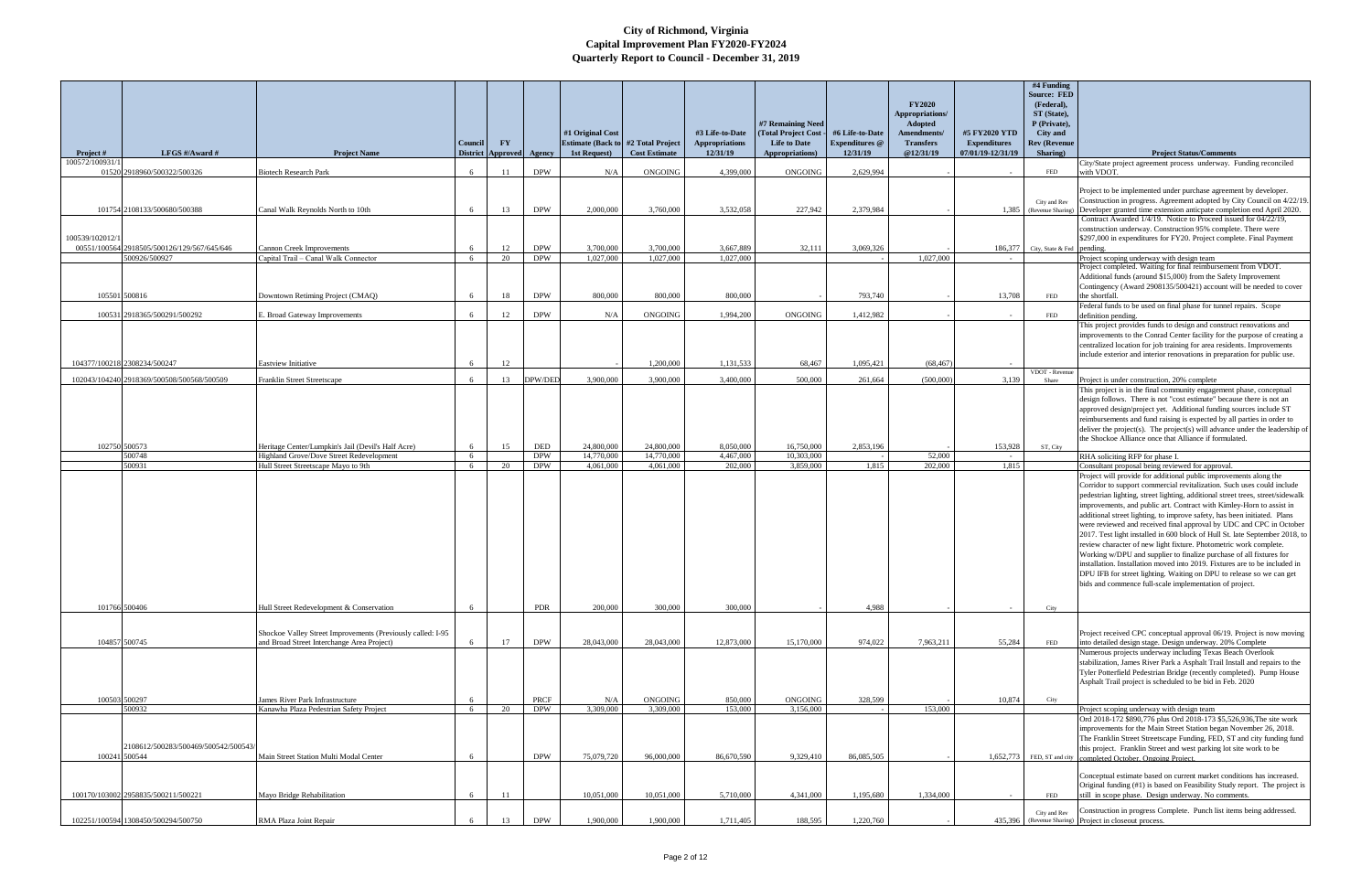|                                     |                                                       |                                                                                                           | <b>Council</b> | $\mathbf{F}\mathbf{Y}$   |                          | #1 Original Cost<br><b>Estimate (Back to #2 Total Project</b> |                             | #3 Life-to-Date<br><b>Appropriations</b> | #7 Remaining Need<br>(Total Project Cost -<br><b>Life to Date</b> | #6 Life-to-Date<br><b>Expenditures</b> @ | <b>FY2020</b><br>Appropriations/<br><b>Adopted</b><br>Amendments/<br><b>Transfers</b> | #5 FY2020 YTD<br><b>Expenditures</b> | #4 Funding<br><b>Source: FED</b><br>(Federal),<br>ST (State),<br>P (Private),<br><b>City</b> and<br><b>Rev (Revenue</b> |                                                                                                                                                                                                                                                                                                                                                                                                                                                                                                                                                                                                                                                                                                                                                                                                                                                                                                                                                          |
|-------------------------------------|-------------------------------------------------------|-----------------------------------------------------------------------------------------------------------|----------------|--------------------------|--------------------------|---------------------------------------------------------------|-----------------------------|------------------------------------------|-------------------------------------------------------------------|------------------------------------------|---------------------------------------------------------------------------------------|--------------------------------------|-------------------------------------------------------------------------------------------------------------------------|----------------------------------------------------------------------------------------------------------------------------------------------------------------------------------------------------------------------------------------------------------------------------------------------------------------------------------------------------------------------------------------------------------------------------------------------------------------------------------------------------------------------------------------------------------------------------------------------------------------------------------------------------------------------------------------------------------------------------------------------------------------------------------------------------------------------------------------------------------------------------------------------------------------------------------------------------------|
| <b>Project</b> #<br>100572/100931/1 | LFGS #/Award #                                        | <b>Project Name</b>                                                                                       |                | District Approved Agency |                          | 1st Request)                                                  | <b>Cost Estimate</b>        | 12/31/19                                 | Appropriations)                                                   | 12/31/19                                 | @12/31/19                                                                             | 07/01/19-12/31/19                    | Sharing)                                                                                                                | <b>Project Status/Comments</b><br>City/State project agreement process underway. Funding reconciled                                                                                                                                                                                                                                                                                                                                                                                                                                                                                                                                                                                                                                                                                                                                                                                                                                                      |
|                                     | 01520 2918960/500322/500326                           | <b>Biotech Research Park</b>                                                                              | 6              | -11                      | <b>DPW</b>               | N/A                                                           | <b>ONGOING</b>              | 4,399,000                                | <b>ONGOING</b>                                                    | 2,629,994                                |                                                                                       |                                      | FED<br>City and Rev                                                                                                     | with VDOT.<br>Project to be implemented under purchase agreement by developer.<br>Construction in progress. Agreement adopted by City Council on 4/22/19.                                                                                                                                                                                                                                                                                                                                                                                                                                                                                                                                                                                                                                                                                                                                                                                                |
|                                     | 101754 2108133/500680/500388                          | Canal Walk Reynolds North to 10th                                                                         | 6              | 13                       | <b>DPW</b>               | 2,000,000                                                     | 3,760,000                   | 3,532,058                                | 227,942                                                           | 2,379,984                                |                                                                                       | 1,385                                | (Revenue Sharing)                                                                                                       | Developer granted time extension anticpate completion end April 2020.<br>Contract Awarded 1/4/19. Notice to Proceed issued for 04/22/19,                                                                                                                                                                                                                                                                                                                                                                                                                                                                                                                                                                                                                                                                                                                                                                                                                 |
| 100539/102012/1                     | 00551/100564 2918505/500126/129/567/645/646           | Cannon Creek Improvements                                                                                 | -6             | 12                       | <b>DPW</b>               | 3,700,000                                                     | 3,700,000                   | 3,667,889                                | 32,111                                                            | 3,069,326                                |                                                                                       | 186,377                              | City, State & Fed pending.                                                                                              | construction underway. Construction 95% complete. There were<br>\$297,000 in expenditures for FY20. Project complete. Final Payment                                                                                                                                                                                                                                                                                                                                                                                                                                                                                                                                                                                                                                                                                                                                                                                                                      |
|                                     | 500926/500927                                         | Capital Trail - Canal Walk Connector                                                                      | - 6            | 20                       | <b>DPW</b>               | 1.027.000                                                     | 1.027.000                   | 1,027,000                                |                                                                   |                                          | 1.027.000                                                                             |                                      |                                                                                                                         | Project scoping underway with design team<br>Project completed. Waiting for final reimbursement from VDOT.                                                                                                                                                                                                                                                                                                                                                                                                                                                                                                                                                                                                                                                                                                                                                                                                                                               |
|                                     | 105501 500816                                         | Downtown Retiming Project (CMAQ)                                                                          | 6              | 18                       | <b>DPW</b>               | 800,000                                                       | 800,000                     | 800,000                                  |                                                                   | 793,740                                  |                                                                                       | 13,708                               | FED                                                                                                                     | Additional funds (around \$15,000) from the Safety Improvement<br>Contingency (Award 2908135/500421) account will be needed to cover<br>the shortfall.                                                                                                                                                                                                                                                                                                                                                                                                                                                                                                                                                                                                                                                                                                                                                                                                   |
|                                     | 100531 2918365/500291/500292                          | E. Broad Gateway Improvements                                                                             | -6             | 12                       | <b>DPW</b>               | N/A                                                           | <b>ONGOING</b>              | 1,994,200                                | <b>ONGOING</b>                                                    | 1,412,982                                |                                                                                       |                                      | FED                                                                                                                     | Federal funds to be used on final phase for tunnel repairs. Scope<br>definition pending.                                                                                                                                                                                                                                                                                                                                                                                                                                                                                                                                                                                                                                                                                                                                                                                                                                                                 |
|                                     | 104377/100218 2308234/500247                          | <b>Eastview Initiative</b>                                                                                | -6             | 12                       |                          |                                                               | 1,200,000                   | 1,131,533                                | 68.467                                                            | 1,095,421                                | (68.467                                                                               |                                      |                                                                                                                         | This project provides funds to design and construct renovations and<br>improvements to the Conrad Center facility for the purpose of creating a<br>centralized location for job training for area residents. Improvements<br>include exterior and interior renovations in preparation for public use.                                                                                                                                                                                                                                                                                                                                                                                                                                                                                                                                                                                                                                                    |
|                                     | 102043/104240 2918369/500508/500568/500509            | Franklin Street Streetscape                                                                               | 6              | 13                       | DPW/DED                  | 3,900,000                                                     | 3,900,000                   | 3,400,000                                | 500,000                                                           | 261,664                                  | (500,000)                                                                             | 3,139                                | VDOT - Revenue<br>Share                                                                                                 | Project is under construction, 20% complete                                                                                                                                                                                                                                                                                                                                                                                                                                                                                                                                                                                                                                                                                                                                                                                                                                                                                                              |
|                                     |                                                       |                                                                                                           |                |                          |                          |                                                               |                             |                                          |                                                                   |                                          |                                                                                       |                                      |                                                                                                                         | This project is in the final community engagement phase, conceptual<br>design follows. There is not "cost estimate" because there is not an<br>approved design/project yet. Additional funding sources include ST<br>reimbursements and fund raising is expected by all parties in order to<br>deliver the project(s). The project(s) will advance under the leadership of<br>the Shockoe Alliance once that Alliance if formulated.                                                                                                                                                                                                                                                                                                                                                                                                                                                                                                                     |
|                                     | 102750 500573<br>500748                               | Heritage Center/Lumpkin's Jail (Devil's Half Acre)<br>Highland Grove/Dove Street Redevelopment            | 6<br>6         | 15                       | <b>DED</b><br><b>DPW</b> | 24,800,000<br>14,770,000                                      | 24,800,000<br>14,770,000    | 8,050,000<br>4,467,000                   | 16,750,000<br>10,303,000                                          | 2,853,196                                | 52,000                                                                                | 153,928                              | ST. City                                                                                                                | RHA soliciting RFP for phase I.                                                                                                                                                                                                                                                                                                                                                                                                                                                                                                                                                                                                                                                                                                                                                                                                                                                                                                                          |
|                                     | 500931<br>101766 500406                               | Hull Street Streetscape Mayo to 9th<br>Hull Street Redevelopment & Conservation                           | 6<br>6         | 20                       | <b>DPW</b><br><b>PDR</b> | 4,061,000<br>200,000                                          | 4.061.000<br>300,000        | 202,000<br>300,000                       | 3,859,000                                                         | 1,815<br>4,988                           | 202,000                                                                               | 1,815<br>$\sim$                      | City                                                                                                                    | Consultant proposal being reviewed for approval.<br>Project will provide for additional public improvements along the<br>Corridor to support commercial revitalization. Such uses could include<br>pedestrian lighting, street lighting, additional street trees, street/sidewalk<br>improvements, and public art. Contract with Kimley-Horn to assist in<br>additional street lighting, to improve safety, has been initiated. Plans<br>were reviewed and received final approval by UDC and CPC in October<br>2017. Test light installed in 600 block of Hull St. late September 2018, to<br>review character of new light fixture. Photometric work complete.<br>Working w/DPU and supplier to finalize purchase of all fixtures for<br>installation. Installation moved into 2019. Fixtures are to be included in<br>DPU IFB for street lighting. Waiting on DPU to release so we can get<br>bids and commence full-scale implementation of project. |
|                                     |                                                       |                                                                                                           |                |                          |                          |                                                               |                             |                                          |                                                                   |                                          |                                                                                       |                                      |                                                                                                                         |                                                                                                                                                                                                                                                                                                                                                                                                                                                                                                                                                                                                                                                                                                                                                                                                                                                                                                                                                          |
|                                     | 104857 500745                                         | Shockoe Valley Street Improvements (Previously called: I-95<br>and Broad Street Interchange Area Project) | 6              | 17                       | <b>DPW</b>               | 28,043,000                                                    | 28,043,000                  | 12,873,000                               | 15,170,000                                                        | 974.022                                  | 7.963.211                                                                             | 55,284                               | <b>FED</b>                                                                                                              | Project received CPC conceptual approval 06/19. Project is now moving<br>into detailed design stage. Design underway. 20% Complete<br>Numerous projects underway including Texas Beach Overlook                                                                                                                                                                                                                                                                                                                                                                                                                                                                                                                                                                                                                                                                                                                                                          |
|                                     |                                                       |                                                                                                           |                |                          |                          |                                                               |                             |                                          |                                                                   |                                          |                                                                                       |                                      |                                                                                                                         | stabilization, James River Park a Asphalt Trail Install and repairs to the<br>Tyler Potterfield Pedestrian Bridge (recently completed). Pump House<br>Asphalt Trail project is scheduled to be bid in Feb. 2020                                                                                                                                                                                                                                                                                                                                                                                                                                                                                                                                                                                                                                                                                                                                          |
|                                     | 100503 500297<br>500932                               | <b>James River Park Infrastructure</b><br>Kanawha Plaza Pedestrian Safety Project                         | -6<br>6        | - 20                     | PRCF<br><b>DPW</b>       | N/A<br>3,309,000                                              | <b>ONGOING</b><br>3,309,000 | 850,000<br>153,000                       | <b>ONGOING</b><br>3,156,000                                       | 328,599                                  | 153,000                                                                               | 10,874                               | City                                                                                                                    | Project scoping underway with design team                                                                                                                                                                                                                                                                                                                                                                                                                                                                                                                                                                                                                                                                                                                                                                                                                                                                                                                |
|                                     | 2108612/500283/500469/500542/500543/<br>100241 500544 | Main Street Station Multi Modal Center                                                                    | 6              |                          | <b>DPW</b>               | 75,079,720                                                    | 96,000,000                  | 86,670,590                               | 9.329.410                                                         | 86,085,505                               |                                                                                       |                                      |                                                                                                                         | Ord 2018-172 \$890,776 plus Ord 2018-173 \$5,526,936,The site work<br>improvements for the Main Street Station began November 26, 2018.<br>The Franklin Street Streetscape Funding, FED, ST and city funding fund<br>this project. Franklin Street and west parking lot site work to be<br>1,652,773 FED, ST and city completed October. Ongoing Project.                                                                                                                                                                                                                                                                                                                                                                                                                                                                                                                                                                                                |
|                                     | 100170/103002 2958835/500211/500221                   | Mayo Bridge Rehabilitation                                                                                | 6              | 11                       |                          | 10,051,000                                                    | 10,051,000                  | 5,710,000                                | 4,341,000                                                         | 1,195,680                                | 1,334,000                                                                             |                                      | FED                                                                                                                     | Conceptual estimate based on current market conditions has increased.<br>Original funding (#1) is based on Feasibility Study report. The project is<br>still in scope phase. Design underway. No comments.                                                                                                                                                                                                                                                                                                                                                                                                                                                                                                                                                                                                                                                                                                                                               |
|                                     | 102251/100594 1308450/500294/500750                   | RMA Plaza Joint Repair                                                                                    | -6             | 13                       | <b>DPW</b>               | 1,900,000                                                     | 1,900,000                   | 1,711,405                                | 188,595                                                           | 1,220,760                                |                                                                                       | 435,396                              | City and Rev                                                                                                            | Construction in progress Complete. Punch list items being addressed.<br>(Revenue Sharing) Project in closeout process.                                                                                                                                                                                                                                                                                                                                                                                                                                                                                                                                                                                                                                                                                                                                                                                                                                   |
|                                     |                                                       |                                                                                                           |                |                          |                          |                                                               |                             |                                          |                                                                   |                                          |                                                                                       |                                      |                                                                                                                         |                                                                                                                                                                                                                                                                                                                                                                                                                                                                                                                                                                                                                                                                                                                                                                                                                                                                                                                                                          |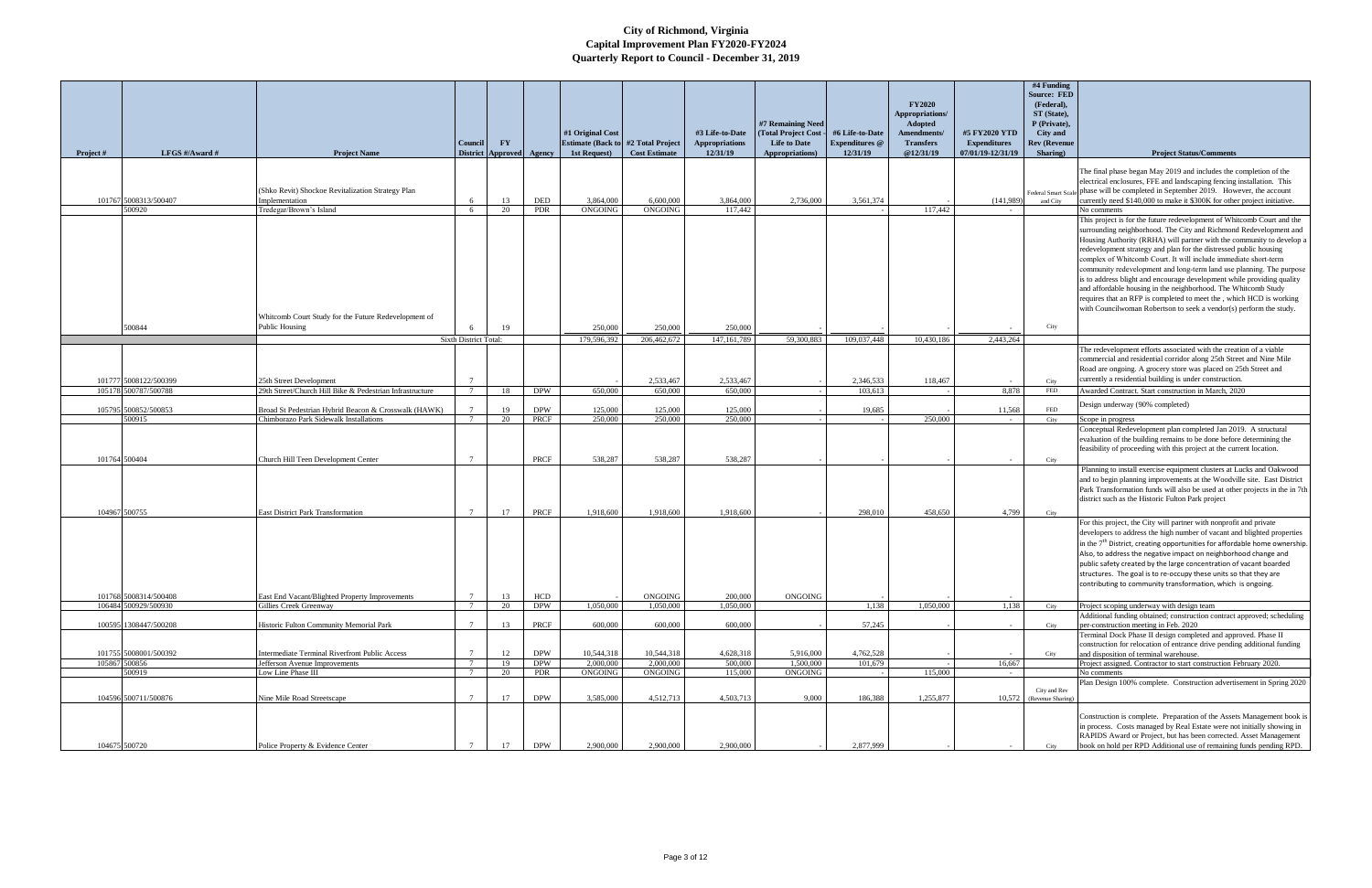| Project #     | LFGS #/Award #          | <b>Project Name</b>                                                                        | Council<br><b>District</b>                                   | <b>FY</b> | Approved Agency          | #1 Original Cost<br><b>Estimate (Back to #2 Total Project)</b><br>1st Request) | <b>Cost Estimate</b>        | #3 Life-to-Date<br>Appropriations<br>12/31/19 | #7 Remaining Need<br>(Total Project Cost -<br><b>Life to Date</b><br>Appropriations) | #6 Life-to-Date<br><b>Expenditures</b> @<br>12/31/19 | <b>FY2020</b><br>Appropriations/<br>Adopted<br>Amendments/<br><b>Transfers</b><br>@12/31/19 | #5 FY2020 YTD<br><b>Expenditures</b><br>07/01/19-12/31/19 | #4 Funding<br><b>Source: FED</b><br>(Federal),<br>ST (State),<br>P (Private),<br><b>City</b> and<br><b>Rev (Revenue</b><br>Sharing) | <b>Project Status/Comments</b>                                                                                                                                                                                                                                                                                                                                                                                                                                                                                                                                                                                                                                                                                                |
|---------------|-------------------------|--------------------------------------------------------------------------------------------|--------------------------------------------------------------|-----------|--------------------------|--------------------------------------------------------------------------------|-----------------------------|-----------------------------------------------|--------------------------------------------------------------------------------------|------------------------------------------------------|---------------------------------------------------------------------------------------------|-----------------------------------------------------------|-------------------------------------------------------------------------------------------------------------------------------------|-------------------------------------------------------------------------------------------------------------------------------------------------------------------------------------------------------------------------------------------------------------------------------------------------------------------------------------------------------------------------------------------------------------------------------------------------------------------------------------------------------------------------------------------------------------------------------------------------------------------------------------------------------------------------------------------------------------------------------|
|               |                         |                                                                                            |                                                              |           |                          |                                                                                |                             |                                               |                                                                                      |                                                      |                                                                                             |                                                           |                                                                                                                                     |                                                                                                                                                                                                                                                                                                                                                                                                                                                                                                                                                                                                                                                                                                                               |
|               | 101767 5008313/500407   | (Shko Revit) Shockoe Revitalization Strategy Plan<br>Implementation                        | -6                                                           | 13        | DED                      | 3,864,000                                                                      | 6,600,000                   | 3,864,000                                     | 2,736,000                                                                            | 3,561,374                                            |                                                                                             | (141,989)                                                 | and City                                                                                                                            | The final phase began May 2019 and includes the completion of the<br>electrical enclosures, FFE and landscaping fencing installation. This<br>Federal Smart Scale phase will be completed in September 2019. However, the account<br>currently need \$140,000 to make it \$300K for other project initiative.                                                                                                                                                                                                                                                                                                                                                                                                                 |
|               | 500920                  | Tredegar/Brown's Island                                                                    | - 6                                                          | 20        | <b>PDR</b>               | <b>ONGOING</b>                                                                 | <b>ONGOING</b>              | 117,442                                       |                                                                                      |                                                      | 117,442                                                                                     |                                                           |                                                                                                                                     | No comments                                                                                                                                                                                                                                                                                                                                                                                                                                                                                                                                                                                                                                                                                                                   |
|               |                         | Whitcomb Court Study for the Future Redevelopment of<br>Public Housing                     |                                                              |           |                          |                                                                                |                             |                                               |                                                                                      |                                                      |                                                                                             |                                                           | City                                                                                                                                | This project is for the future redevelopment of Whitcomb Court and the<br>surrounding neighborhood. The City and Richmond Redevelopment and<br>Housing Authority (RRHA) will partner with the community to develop a<br>redevelopment strategy and plan for the distressed public housing<br>complex of Whitcomb Court. It will include immediate short-term<br>community redevelopment and long-term land use planning. The purpose<br>is to address blight and encourage development while providing quality<br>and affordable housing in the neighborhood. The Whitcomb Study<br>requires that an RFP is completed to meet the, which HCD is working<br>with Councilwoman Robertson to seek a vendor(s) perform the study. |
|               | 500844                  |                                                                                            | <b>Sixth District Total:</b>                                 | 19        |                          | 250,000<br>179,596,392                                                         | 250,000<br>206,462,672      | 250,000<br>147, 161, 789                      | 59,300,883                                                                           | 109,037,448                                          | 10.430.186                                                                                  | 2,443,264                                                 |                                                                                                                                     |                                                                                                                                                                                                                                                                                                                                                                                                                                                                                                                                                                                                                                                                                                                               |
|               | 101777 5008122/500399   | 25th Street Development                                                                    |                                                              |           |                          |                                                                                | 2,533,467                   | 2,533,467                                     |                                                                                      | 2,346,533                                            | 118,467                                                                                     |                                                           | City                                                                                                                                | The redevelopment efforts associated with the creation of a viable<br>commercial and residential corridor along 25th Street and Nine Mile<br>Road are ongoing. A grocery store was placed on 25th Street and<br>currently a residential building is under construction.                                                                                                                                                                                                                                                                                                                                                                                                                                                       |
|               | 105178 500787/500788    | 29th Street/Church Hill Bike & Pedestrian Infrastructure                                   | $7\phantom{.0}\phantom{.0}7$                                 | 18        | <b>DPW</b>               | 650,000                                                                        | 650,000                     | 650,000                                       |                                                                                      | 103.613                                              |                                                                                             | 8.878                                                     | FED                                                                                                                                 | Awarded Contract. Start construction in March, 2020                                                                                                                                                                                                                                                                                                                                                                                                                                                                                                                                                                                                                                                                           |
|               | 105795 500852/500853    | Broad St Pedestrian Hybrid Beacon & Crosswalk (HAWK)                                       |                                                              | 19        | <b>DPW</b>               | 125,000                                                                        | 125,000                     | 125,000                                       |                                                                                      | 19,685                                               |                                                                                             | 11,568                                                    | <b>FED</b>                                                                                                                          | Design underway (90% completed)                                                                                                                                                                                                                                                                                                                                                                                                                                                                                                                                                                                                                                                                                               |
|               | 500915                  | Chimborazo Park Sidewalk Installations                                                     |                                                              | 20        | <b>PRCF</b>              | 250,000                                                                        | 250,000                     | 250,000                                       |                                                                                      |                                                      | 250,000                                                                                     |                                                           | City                                                                                                                                | Scope in progress                                                                                                                                                                                                                                                                                                                                                                                                                                                                                                                                                                                                                                                                                                             |
| 101764 500404 |                         | Church Hill Teen Development Center                                                        |                                                              |           | <b>PRCF</b>              | 538.287                                                                        | 538,287                     | 538,287                                       |                                                                                      |                                                      |                                                                                             |                                                           | City                                                                                                                                | Conceptual Redevelopment plan completed Jan 2019. A structural<br>evaluation of the building remains to be done before determining the<br>feasibility of proceeding with this project at the current location.                                                                                                                                                                                                                                                                                                                                                                                                                                                                                                                |
|               | 104967 500755           |                                                                                            |                                                              |           |                          |                                                                                |                             |                                               |                                                                                      |                                                      |                                                                                             |                                                           |                                                                                                                                     | Planning to install exercise equipment clusters at Lucks and Oakwood<br>and to begin planning improvements at the Woodville site. East District<br>Park Transformation funds will also be used at other projects in the in 7th<br>district such as the Historic Fulton Park project                                                                                                                                                                                                                                                                                                                                                                                                                                           |
|               | 101768 5008314/500408   | <b>East District Park Transformation</b><br>East End Vacant/Blighted Property Improvements | $\overline{7}$                                               | 17<br>13  | PRCF<br>HCD              | 1,918,600                                                                      | 1,918,600<br>ONGOING        | 1,918,600<br>200,000                          | ONGOING                                                                              | 298,010                                              | 458,650                                                                                     | 4,799                                                     | City                                                                                                                                | For this project, the City will partner with nonprofit and private<br>developers to address the high number of vacant and blighted properties<br>in the $7th$ District, creating opportunities for affordable home ownership.<br>Also, to address the negative impact on neighborhood change and<br>public safety created by the large concentration of vacant boarded<br>structures. The goal is to re-occupy these units so that they are<br>contributing to community transformation, which is ongoing.                                                                                                                                                                                                                    |
|               | 106484 500929/500930    | Gillies Creek Greenway                                                                     | $7\overline{ }$                                              | 20        | <b>DPW</b>               | 1,050,000                                                                      | 1.050,000                   | 1,050,000                                     |                                                                                      | 1,138                                                | 1,050,000                                                                                   | 1,138                                                     | City                                                                                                                                | Project scoping underway with design team                                                                                                                                                                                                                                                                                                                                                                                                                                                                                                                                                                                                                                                                                     |
|               | 100595 1308447/500208   | Historic Fulton Community Memorial Park                                                    |                                                              | 13        | PRCF                     | 600,000                                                                        | 600,000                     | 600,000                                       |                                                                                      | 57,245                                               |                                                                                             |                                                           | City                                                                                                                                | Additional funding obtained; construction contract approved; scheduling<br>per-construction meeting in Feb. 2020<br>Terminal Dock Phase II design completed and approved. Phase II                                                                                                                                                                                                                                                                                                                                                                                                                                                                                                                                            |
|               | 101755 5008001/500392   | <b>Intermediate Terminal Riverfront Public Access</b>                                      | $\overline{7}$                                               | 12        | <b>DPW</b><br><b>DPW</b> | 10,544,318<br>2,000,000                                                        | 10,544,318                  | 4,628,318<br>500,000                          | 5,916,000<br>1.500,000                                                               | 4,762,528                                            |                                                                                             |                                                           | City                                                                                                                                | construction for relocation of entrance drive pending additional funding<br>and disposition of terminal warehouse.                                                                                                                                                                                                                                                                                                                                                                                                                                                                                                                                                                                                            |
|               | 105867 500856<br>500919 | Jefferson Avenue Improvements<br>Low Line Phase III                                        | $7\phantom{.0}\phantom{.0}7$<br>$7\phantom{.0}\phantom{.0}7$ | 19<br>20  | PDR                      | ONGOING                                                                        | 2,000,000<br><b>ONGOING</b> | 115,000                                       | ONGOING                                                                              | 101,679                                              | 115,000                                                                                     | 16,667<br>$\sim$ $-$                                      |                                                                                                                                     | Project assigned. Contractor to start construction February 2020.<br>No comments                                                                                                                                                                                                                                                                                                                                                                                                                                                                                                                                                                                                                                              |
|               | 104596 500711/500876    | Nine Mile Road Streetscape                                                                 | $\mathcal{I}$                                                | 17        | <b>DPW</b>               | 3,585,000                                                                      | 4,512,713                   | 4,503,713                                     | 9,000                                                                                | 186,388                                              | 1,255,877                                                                                   | 10,572                                                    | City and Rev<br>(Revenue Sharing)                                                                                                   | Plan Design 100% complete. Construction advertisement in Spring 2020                                                                                                                                                                                                                                                                                                                                                                                                                                                                                                                                                                                                                                                          |
|               | 104675 500720           | Police Property & Evidence Center                                                          |                                                              | 17        | <b>DPW</b>               | 2,900,000                                                                      | 2,900,000                   | 2,900,000                                     |                                                                                      | 2,877,999                                            |                                                                                             |                                                           | City                                                                                                                                | Construction is complete. Preparation of the Assets Management book is<br>in process. Costs managed by Real Estate were not initially showing in<br>RAPIDS Award or Project, but has been corrected. Asset Management<br>book on hold per RPD Additional use of remaining funds pending RPD.                                                                                                                                                                                                                                                                                                                                                                                                                                  |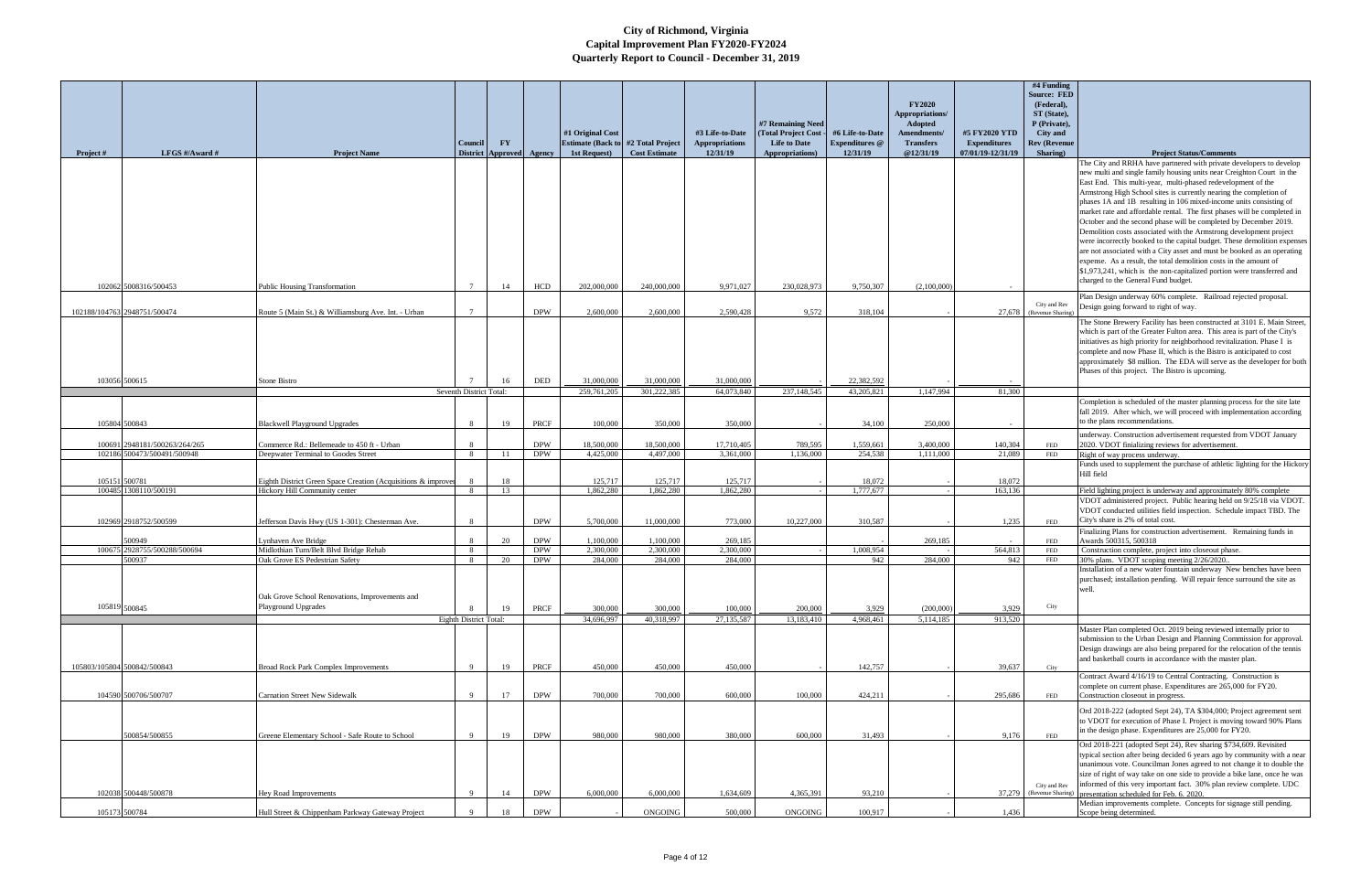| Project #     | LFGS #/Award #                                                                | <b>Project Name</b>                                                                                                       | <b>Council</b>                         | $\mathbf{F}\mathbf{Y}$<br><b>District Approved Agency</b> |                                  | #1 Original Cost<br><b>Estimate (Back to #2 Total Project</b><br>1st Request) | <b>Cost Estimate</b>               | #3 Life-to-Date<br><b>Appropriations</b><br>12/31/19 | #7 Remaining Need<br>(Total Project Cost<br><b>Life to Date</b><br>Appropriations) | #6 Life-to-Date<br><b>Expenditures</b> @<br>12/31/19 | <b>FY2020</b><br>Appropriations/<br><b>Adopted</b><br>Amendments/<br><b>Transfers</b><br>@12/31/19 | #5 FY2020 YTD<br><b>Expenditures</b><br>07/01/19-12/31/19 | #4 Funding<br><b>Source: FED</b><br>(Federal),<br>ST (State),<br>P (Private),<br><b>City and</b><br><b>Rev (Revenue</b><br>Sharing) | <b>Project Status/Comments</b><br>The City and RRHA have partnered with private developers to develop<br>new multi and single family housing units near Creighton Court in the<br>East End. This multi-year, multi-phased redevelopment of the<br>Armstrong High School sites is currently nearing the completion of                                                                                                                                                                                                                                                                                                                  |
|---------------|-------------------------------------------------------------------------------|---------------------------------------------------------------------------------------------------------------------------|----------------------------------------|-----------------------------------------------------------|----------------------------------|-------------------------------------------------------------------------------|------------------------------------|------------------------------------------------------|------------------------------------------------------------------------------------|------------------------------------------------------|----------------------------------------------------------------------------------------------------|-----------------------------------------------------------|-------------------------------------------------------------------------------------------------------------------------------------|---------------------------------------------------------------------------------------------------------------------------------------------------------------------------------------------------------------------------------------------------------------------------------------------------------------------------------------------------------------------------------------------------------------------------------------------------------------------------------------------------------------------------------------------------------------------------------------------------------------------------------------|
|               | 102062 5008316/500453                                                         | <b>Public Housing Transformation</b>                                                                                      |                                        | 14                                                        | <b>HCD</b>                       | 202,000,000                                                                   | 240,000,000                        | 9,971,027                                            | 230,028,973                                                                        | 9,750,307                                            | (2,100,000)                                                                                        |                                                           |                                                                                                                                     | phases 1A and 1B resulting in 106 mixed-income units consisting of<br>market rate and affordable rental. The first phases will be completed in<br>October and the second phase will be completed by December 2019.<br>Demolition costs associated with the Armstrong development project<br>were incorrectly booked to the capital budget. These demolition expenses<br>are not associated with a City asset and must be booked as an operating<br>expense. As a result, the total demolition costs in the amount of<br>\$1,973,241, which is the non-capitalized portion were transferred and<br>charged to the General Fund budget. |
|               | 102188/104763 2948751/500474                                                  | Route 5 (Main St.) & Williamsburg Ave. Int. - Urban                                                                       | $\overline{7}$                         |                                                           | <b>DPW</b>                       | 2,600,000                                                                     | 2,600,000                          | 2,590,428                                            | 9.572                                                                              | 318,104                                              |                                                                                                    | 27,678                                                    | City and Rev<br>(Revenue Sharing                                                                                                    | Plan Design underway 60% complete. Railroad rejected proposal.<br>Design going forward to right of way.                                                                                                                                                                                                                                                                                                                                                                                                                                                                                                                               |
|               | 103056 500615                                                                 | Stone Bistro                                                                                                              | Seventh District Total:                | -16                                                       | <b>DED</b>                       | 31,000,000<br>259,761,205                                                     | 31,000,000<br>301,222,385          | 31,000,000<br>64,073,840                             | 237,148,545                                                                        | 22,382,592<br>43,205,821                             | 1,147,994                                                                                          | 81,300                                                    |                                                                                                                                     | The Stone Brewery Facility has been constructed at 3101 E. Main Street,<br>which is part of the Greater Fulton area. This area is part of the City's<br>initiatives as high priority for neighborhood revitalization. Phase I is<br>complete and now Phase II, which is the Bistro is anticipated to cost<br>approximately \$8 million. The EDA will serve as the developer for both<br>Phases of this project. The Bistro is upcoming.                                                                                                                                                                                               |
|               |                                                                               |                                                                                                                           |                                        |                                                           |                                  |                                                                               |                                    |                                                      |                                                                                    |                                                      |                                                                                                    |                                                           |                                                                                                                                     | Completion is scheduled of the master planning process for the site late                                                                                                                                                                                                                                                                                                                                                                                                                                                                                                                                                              |
|               |                                                                               |                                                                                                                           |                                        |                                                           |                                  |                                                                               |                                    |                                                      |                                                                                    |                                                      |                                                                                                    |                                                           |                                                                                                                                     | fall 2019. After which, we will proceed with implementation according<br>to the plans recommendations.                                                                                                                                                                                                                                                                                                                                                                                                                                                                                                                                |
|               | 105804 500843<br>100691 2948181/500263/264/265<br>102186 500473/500491/500948 | <b>Blackwell Playground Upgrades</b><br>Commerce Rd.: Bellemeade to 450 ft - Urban<br>Deepwater Terminal to Goodes Street | -8<br>8<br>8                           | 19<br>- 11                                                | PRCF<br><b>DPW</b><br><b>DPW</b> | 100,000<br>18,500,000<br>4,425,000                                            | 350,000<br>18,500,000<br>4,497,000 | 350,000<br>17,710,405<br>3,361,000                   | 789,595<br>1,136,000                                                               | 34,100<br>1.559.661<br>254,538                       | 250,000<br>3,400,000<br>1,111,000                                                                  | 140,304<br>21,089                                         | FED<br>FED                                                                                                                          | underway. Construction advertisement requested from VDOT January<br>2020. VDOT finializing reviews for advertisement.<br>Right of way process underway.                                                                                                                                                                                                                                                                                                                                                                                                                                                                               |
| 105151 500781 |                                                                               | Eighth District Green Space Creation (Acquisitions & improver                                                             |                                        | 18                                                        |                                  | 125,717                                                                       | 125,717                            | 125,717                                              |                                                                                    | 18,072                                               |                                                                                                    | 18,072                                                    |                                                                                                                                     | Funds used to supplement the purchase of athletic lighting for the Hickory<br>Hill field                                                                                                                                                                                                                                                                                                                                                                                                                                                                                                                                              |
| 100485        | 308110/500191<br>102969 2918752/500599                                        | Hickory Hill Community center<br>Jefferson Davis Hwy (US 1-301): Chesterman Ave.                                          | -8<br>-8                               | 13                                                        | <b>DPW</b>                       | 1,862,280<br>5,700,000                                                        | 1,862,280<br>11,000,000            | 1,862,280<br>773,000                                 | 10,227,000                                                                         | 1,777,677<br>310,587                                 |                                                                                                    | 163,136<br>1,235                                          | FED                                                                                                                                 | Field lighting project is underway and approximately 80% complete<br>VDOT administered project. Public hearing held on 9/25/18 via VDOT.<br>VDOT conducted utilities field inspection. Schedule impact TBD. The<br>City's share is 2% of total cost.<br>Finalizing Plans for construction advertisement. Remaining funds in                                                                                                                                                                                                                                                                                                           |
|               | 500949<br>100675 2928755/500288/500694                                        | Lynhaven Ave Bridge<br>Midlothian Turn/Belt Blvd Bridge Rehab                                                             | -8<br>8                                | 20                                                        | <b>DPW</b><br><b>DPW</b>         | 1,100,000<br>2,300,000                                                        | 1,100,000<br>2,300,000             | 269,185<br>2,300,000                                 |                                                                                    | 1,008,954                                            | 269,185                                                                                            | 564,813                                                   | FED<br>FED                                                                                                                          | Awards 500315, 500318<br>Construction complete, project into closeout phase.                                                                                                                                                                                                                                                                                                                                                                                                                                                                                                                                                          |
|               | 500937                                                                        | Oak Grove ES Pedestrian Safety<br>Oak Grove School Renovations, Improvements and                                          | 8                                      | - 20                                                      | <b>DPW</b>                       | 284,000                                                                       | 284,000                            | 284,000                                              |                                                                                    | 942                                                  | 284,000                                                                                            | 942                                                       | FED                                                                                                                                 | 30% plans. VDOT scoping meeting 2/26/2020.<br>Installation of a new water fountain underway New benches have been<br>purchased; installation pending. Will repair fence surround the site as<br>well.                                                                                                                                                                                                                                                                                                                                                                                                                                 |
|               | 105819 500845                                                                 | Playground Upgrades                                                                                                       |                                        | 19                                                        | PRCF                             | 300,000                                                                       | 300,000                            | 100,000                                              | 200,000                                                                            | 3,929                                                | (200,000)                                                                                          | 3,929                                                     | City                                                                                                                                |                                                                                                                                                                                                                                                                                                                                                                                                                                                                                                                                                                                                                                       |
|               | 105803/105804 500842/500843                                                   | Broad Rock Park Complex Improvements                                                                                      | Eighth District Total:<br>$\mathbf{Q}$ | 19                                                        | PRCF                             | 34,696,997<br>450,000                                                         | 40,318,997<br>450,000              | 27,135,587<br>450,000                                | 13,183,410                                                                         | 4,968,461<br>142,757                                 | 5,114,185                                                                                          | 913,520<br>39,637                                         | City                                                                                                                                | Master Plan completed Oct. 2019 being reviewed internally prior to<br>submission to the Urban Design and Planning Commission for approval.<br>Design drawings are also being prepared for the relocation of the tennis<br>and basketball courts in accordance with the master plan.                                                                                                                                                                                                                                                                                                                                                   |
|               | 104590 500706/500707                                                          | <b>Carnation Street New Sidewalk</b>                                                                                      | Q                                      | 17                                                        | <b>DPW</b>                       | 700,000                                                                       | 700,000                            | 600,000                                              | 100,000                                                                            | 424,211                                              |                                                                                                    | 295,686                                                   | FED                                                                                                                                 | Contract Award 4/16/19 to Central Contracting. Construction is<br>complete on current phase. Expenditures are 265,000 for FY20.<br>Construction closeout in progress.                                                                                                                                                                                                                                                                                                                                                                                                                                                                 |
|               | 500854/500855                                                                 | Greene Elementary School - Safe Route to School                                                                           | $\mathbf{Q}$                           | 19                                                        | <b>DPW</b>                       | 980,000                                                                       | 980,000                            | 380,000                                              | 600,000                                                                            | 31,493                                               |                                                                                                    | 9,176                                                     | <b>FED</b>                                                                                                                          | Ord 2018-222 (adopted Sept 24), TA \$304,000; Project agreement sent<br>to VDOT for execution of Phase I. Project is moving toward 90% Plans<br>in the design phase. Expenditures are 25,000 for FY20.                                                                                                                                                                                                                                                                                                                                                                                                                                |
|               | 102038 500448/500878                                                          | Hey Road Improvements                                                                                                     | Q                                      | 14                                                        | <b>DPW</b>                       | 6,000,000                                                                     | 6,000,000                          | 1,634,609                                            | 4,365,391                                                                          | 93.210                                               |                                                                                                    | 37,279                                                    | City and Rev                                                                                                                        | Ord 2018-221 (adopted Sept 24), Rev sharing \$734,609. Revisited<br>typical section after being decided 6 years ago by community with a near<br>unanimous vote. Councilman Jones agreed to not change it to double the<br>size of right of way take on one side to provide a bike lane, once he was<br>informed of this very important fact. 30% plan review complete. UDC<br>(Revenue Sharing) presentation scheduled for Feb. 6. 2020.                                                                                                                                                                                              |
| 105173 500784 |                                                                               | Hull Street & Chippenham Parkway Gateway Project                                                                          |                                        | 18                                                        | <b>DPW</b>                       |                                                                               | ONGOING                            | 500,000                                              | ONGOING                                                                            | 100,917                                              |                                                                                                    | 1,436                                                     |                                                                                                                                     | Median improvements complete. Concepts for signage still pending.<br>Scope being determined.                                                                                                                                                                                                                                                                                                                                                                                                                                                                                                                                          |
|               |                                                                               |                                                                                                                           |                                        |                                                           |                                  |                                                                               |                                    |                                                      |                                                                                    |                                                      |                                                                                                    |                                                           |                                                                                                                                     |                                                                                                                                                                                                                                                                                                                                                                                                                                                                                                                                                                                                                                       |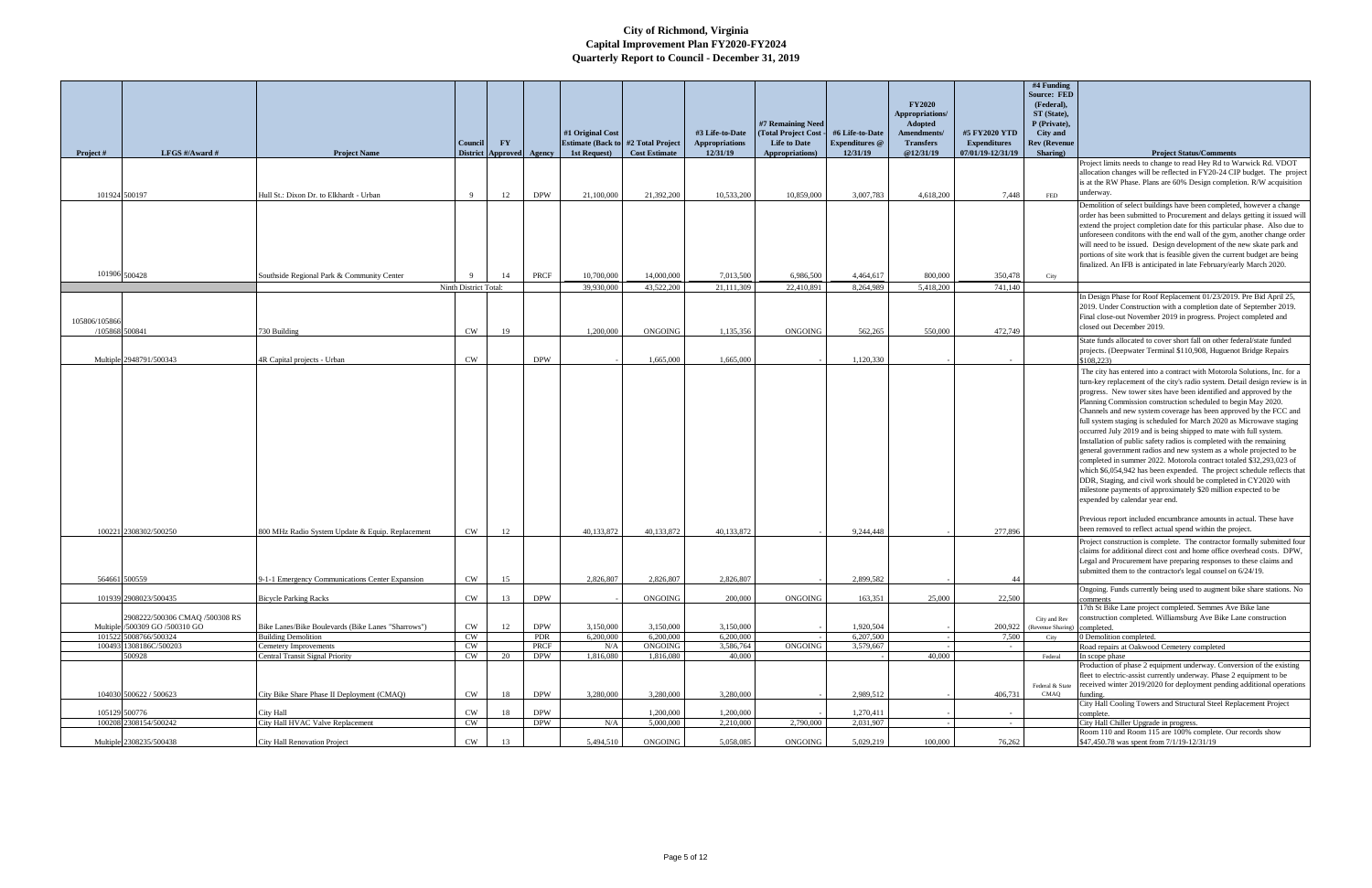|               |                                                                  |                                                                 | <b>Council</b>        | $\mathbf{F}\mathbf{Y}$ |                    | #1 Original Cost<br><b>Estimate (Back to #2 Total Project)</b> |                      | #3 Life-to-Date<br><b>Appropriations</b> | #7 Remaining Need<br>(Total Project Cost<br><b>Life to Date</b> | #6 Life-to-Date<br><b>Expenditures</b> @ | <b>FY2020</b><br>Appropriations/<br><b>Adopted</b><br>Amendments/<br><b>Transfers</b> | #5 FY2020 YTD<br><b>Expenditures</b> | #4 Funding<br><b>Source: FED</b><br>(Federal),<br>ST (State),<br>P (Private),<br>City and<br><b>Rev (Revenue</b> |                                                                                                                                                                                                                                                                                                                                                                                                                                                                                                                                                                                                                                                                                                                                                                                                                                                                                                                                                                                                                                                                                                                             |
|---------------|------------------------------------------------------------------|-----------------------------------------------------------------|-----------------------|------------------------|--------------------|----------------------------------------------------------------|----------------------|------------------------------------------|-----------------------------------------------------------------|------------------------------------------|---------------------------------------------------------------------------------------|--------------------------------------|------------------------------------------------------------------------------------------------------------------|-----------------------------------------------------------------------------------------------------------------------------------------------------------------------------------------------------------------------------------------------------------------------------------------------------------------------------------------------------------------------------------------------------------------------------------------------------------------------------------------------------------------------------------------------------------------------------------------------------------------------------------------------------------------------------------------------------------------------------------------------------------------------------------------------------------------------------------------------------------------------------------------------------------------------------------------------------------------------------------------------------------------------------------------------------------------------------------------------------------------------------|
| Project #     | LFGS $\#/$ Award $\#$                                            | <b>Project Name</b>                                             | <b>District</b>       | <b>Approved</b>        | Agency             | 1st Request)                                                   | <b>Cost Estimate</b> | 12/31/19                                 | Appropriations)                                                 | 12/31/19                                 | @12/31/19                                                                             | 07/01/19-12/31/19                    | Sharing)                                                                                                         | <b>Project Status/Comments</b>                                                                                                                                                                                                                                                                                                                                                                                                                                                                                                                                                                                                                                                                                                                                                                                                                                                                                                                                                                                                                                                                                              |
|               |                                                                  |                                                                 |                       |                        |                    |                                                                |                      |                                          |                                                                 |                                          |                                                                                       |                                      |                                                                                                                  | Project limits needs to change to read Hey Rd to Warwick Rd. VDOT<br>allocation changes will be reflected in FY20-24 CIP budget. The project<br>is at the RW Phase. Plans are 60% Design completion. R/W acquisition<br>underway.                                                                                                                                                                                                                                                                                                                                                                                                                                                                                                                                                                                                                                                                                                                                                                                                                                                                                           |
|               | 101924 500197                                                    | Hull St.: Dixon Dr. to Elkhardt - Urban                         | 9                     | 12                     | <b>DPW</b>         | 21,100,000                                                     | 21,392,200           | 10,533,200                               | 10,859,000                                                      | 3,007,783                                | 4,618,200                                                                             | 7,448                                | <b>FED</b>                                                                                                       | Demolition of select buildings have been completed, however a change                                                                                                                                                                                                                                                                                                                                                                                                                                                                                                                                                                                                                                                                                                                                                                                                                                                                                                                                                                                                                                                        |
|               | 101906 500428                                                    | Southside Regional Park & Community Center                      |                       | 14                     | PRCF               | 10,700,000                                                     | 14,000,000           | 7,013,500                                | 6,986,500                                                       | 4,464,617                                | 800,000                                                                               | 350,478                              | City                                                                                                             | order has been submitted to Procurement and delays getting it issued will<br>extend the project completion date for this particular phase. Also due to<br>unforeseen conditons with the end wall of the gym, another change order<br>will need to be issued. Design development of the new skate park and<br>portions of site work that is feasible given the current budget are being<br>finalized. An IFB is anticipated in late February/early March 2020.                                                                                                                                                                                                                                                                                                                                                                                                                                                                                                                                                                                                                                                               |
|               |                                                                  |                                                                 | Ninth District Total: |                        |                    | 39,930,000                                                     | 43,522,200           | 21,111,309                               | 22,410,891                                                      | 8,264,989                                | 5,418,200                                                                             | 741,140                              |                                                                                                                  |                                                                                                                                                                                                                                                                                                                                                                                                                                                                                                                                                                                                                                                                                                                                                                                                                                                                                                                                                                                                                                                                                                                             |
| 105806/105866 | /105868 500841                                                   | 730 Building                                                    | CW                    | 19                     |                    | 1,200,000                                                      | ONGOING              | 1,135,356                                | <b>ONGOING</b>                                                  | 562,265                                  | 550,000                                                                               | 472,749                              |                                                                                                                  | In Design Phase for Roof Replacement 01/23/2019. Pre Bid April 25,<br>2019. Under Construction with a completion date of September 2019.<br>Final close-out November 2019 in progress. Project completed and<br>closed out December 2019.                                                                                                                                                                                                                                                                                                                                                                                                                                                                                                                                                                                                                                                                                                                                                                                                                                                                                   |
|               | Multiple 2948791/500343                                          | 4R Capital projects - Urban                                     | CW                    |                        | <b>DPW</b>         |                                                                | 1,665,000            | 1,665,000                                |                                                                 | 1,120,330                                |                                                                                       |                                      |                                                                                                                  | State funds allocated to cover short fall on other federal/state funded<br>projects. (Deepwater Terminal \$110,908, Huguenot Bridge Repairs<br>\$108,223                                                                                                                                                                                                                                                                                                                                                                                                                                                                                                                                                                                                                                                                                                                                                                                                                                                                                                                                                                    |
|               | 100221 2308302/500250                                            | 800 MHz Radio System Update & Equip. Replacement                | <b>CW</b>             | 12                     |                    | 40,133,872                                                     | 40,133,872           | 40,133,872                               |                                                                 | 9,244,448                                |                                                                                       | 277,896                              |                                                                                                                  | The city has entered into a contract with Motorola Solutions, Inc. for a<br>turn-key replacement of the city's radio system. Detail design review is in<br>progress. New tower sites have been identified and approved by the<br>Planning Commission construction scheduled to begin May 2020.<br>Channels and new system coverage has been approved by the FCC and<br>full system staging is scheduled for March 2020 as Microwave staging<br>occurred July 2019 and is being shipped to mate with full system.<br>Installation of public safety radios is completed with the remaining<br>general government radios and new system as a whole projected to be<br>completed in summer 2022. Motorola contract totaled \$32,293,023 of<br>which \$6,054,942 has been expended. The project schedule reflects that<br>DDR, Staging, and civil work should be completed in CY2020 with<br>milestone payments of approximately \$20 million expected to be<br>expended by calendar year end.<br>Previous report included encumbrance amounts in actual. These have<br>been removed to reflect actual spend within the project. |
|               |                                                                  |                                                                 |                       |                        |                    |                                                                |                      |                                          |                                                                 |                                          |                                                                                       |                                      |                                                                                                                  | Project construction is complete. The contractor formally submitted four<br>claims for additional direct cost and home office overhead costs. DPW,                                                                                                                                                                                                                                                                                                                                                                                                                                                                                                                                                                                                                                                                                                                                                                                                                                                                                                                                                                          |
|               | 564661 500559                                                    | 9-1-1 Emergency Communications Center Expansion                 | <b>CW</b>             | 15                     |                    | 2,826,807                                                      | 2,826,807            | 2,826,807                                |                                                                 | 2.899.582                                |                                                                                       |                                      |                                                                                                                  | Legal and Procurement have preparing responses to these claims and<br>submitted them to the contractor's legal counsel on 6/24/19.                                                                                                                                                                                                                                                                                                                                                                                                                                                                                                                                                                                                                                                                                                                                                                                                                                                                                                                                                                                          |
|               | 101939 2908023/500435                                            | <b>Bicycle Parking Racks</b>                                    | $\mathrm{CW}$         | 13                     | <b>DPW</b>         |                                                                | <b>ONGOING</b>       | 200,000                                  | <b>ONGOING</b>                                                  | 163,351                                  | 25,000                                                                                | 22,500                               |                                                                                                                  | Ongoing. Funds currently being used to augment bike share stations. No<br>comments                                                                                                                                                                                                                                                                                                                                                                                                                                                                                                                                                                                                                                                                                                                                                                                                                                                                                                                                                                                                                                          |
|               | 2908222/500306 CMAQ /500308 RS<br>Multiple /500309 GO /500310 GO | Bike Lanes/Bike Boulevards (Bike Lanes "Sharrows")              | $\mathrm{CW}$         | 12                     | <b>DPW</b>         | 3,150,000                                                      | 3.150,000            | 3,150,000                                |                                                                 | 1.920.504                                |                                                                                       |                                      | City and Rev<br>200,922 (Revenue Sharing) completed.                                                             | 17th St Bike Lane project completed. Semmes Ave Bike lane<br>construction completed. Williamsburg Ave Bike Lane construction                                                                                                                                                                                                                                                                                                                                                                                                                                                                                                                                                                                                                                                                                                                                                                                                                                                                                                                                                                                                |
|               | 101522 5008766/500324<br>100493 1308186C/500203                  | <b>Building Demolition</b>                                      | <b>CW</b>             |                        | <b>PDR</b>         | 6,200,000                                                      | 6,200,000            | 6,200,000                                |                                                                 | 6,207,500                                |                                                                                       | 7,500                                | City                                                                                                             | 0 Demolition completed.                                                                                                                                                                                                                                                                                                                                                                                                                                                                                                                                                                                                                                                                                                                                                                                                                                                                                                                                                                                                                                                                                                     |
|               | 500928                                                           | Cemetery Improvements<br><b>Central Transit Signal Priority</b> | <b>CW</b><br>CW       | 20                     | PRCF<br><b>DPW</b> | N/A<br>1,816,080                                               | ONGOING<br>1,816,080 | 3.586.764<br>40,000                      | <b>ONGOING</b>                                                  | 3,579,667                                | 40,000                                                                                | $\sim$                               | Federal<br>Federal & State                                                                                       | Road repairs at Oakwood Cemetery completed<br>In scope phase<br>Production of phase 2 equipment underway. Conversion of the existing<br>fleet to electric-assist currently underway. Phase 2 equipment to be<br>received winter 2019/2020 for deployment pending additional operations                                                                                                                                                                                                                                                                                                                                                                                                                                                                                                                                                                                                                                                                                                                                                                                                                                      |
|               | 104030 500622 / 500623                                           | City Bike Share Phase II Deployment (CMAO)                      | CW                    | 18                     | <b>DPW</b>         | 3,280,000                                                      | 3,280,000            | 3,280,000                                |                                                                 | 2,989,512                                |                                                                                       | 406,731                              | CMAQ                                                                                                             | funding.<br>City Hall Cooling Towers and Structural Steel Replacement Project                                                                                                                                                                                                                                                                                                                                                                                                                                                                                                                                                                                                                                                                                                                                                                                                                                                                                                                                                                                                                                               |
|               | 105129 500776                                                    | City Hall                                                       | $\mathrm{CW}$         | 18                     | <b>DPW</b>         |                                                                | 1,200,000            | 1.200.000                                |                                                                 | 1,270,411                                |                                                                                       |                                      |                                                                                                                  | complete.                                                                                                                                                                                                                                                                                                                                                                                                                                                                                                                                                                                                                                                                                                                                                                                                                                                                                                                                                                                                                                                                                                                   |
|               | 100208 2308154/500242                                            | City Hall HVAC Valve Replacement                                | $\mathrm{CW}$         |                        | <b>DPW</b>         | N/A                                                            | 5,000,000            | 2,210,000                                | 2,790,000                                                       | 2,031,907                                |                                                                                       | $\sim$                               |                                                                                                                  | City Hall Chiller Upgrade in progress.<br>Room 110 and Room 115 are 100% complete. Our records show                                                                                                                                                                                                                                                                                                                                                                                                                                                                                                                                                                                                                                                                                                                                                                                                                                                                                                                                                                                                                         |
|               | Multiple 2308235/500438                                          | City Hall Renovation Project                                    | $\mathrm{CW}$         | 13                     |                    | 5,494,510                                                      | ONGOING              | 5,058,085                                | <b>ONGOING</b>                                                  | 5,029,219                                | 100,000                                                                               | 76,262                               |                                                                                                                  | \$47,450.78 was spent from 7/1/19-12/31/19                                                                                                                                                                                                                                                                                                                                                                                                                                                                                                                                                                                                                                                                                                                                                                                                                                                                                                                                                                                                                                                                                  |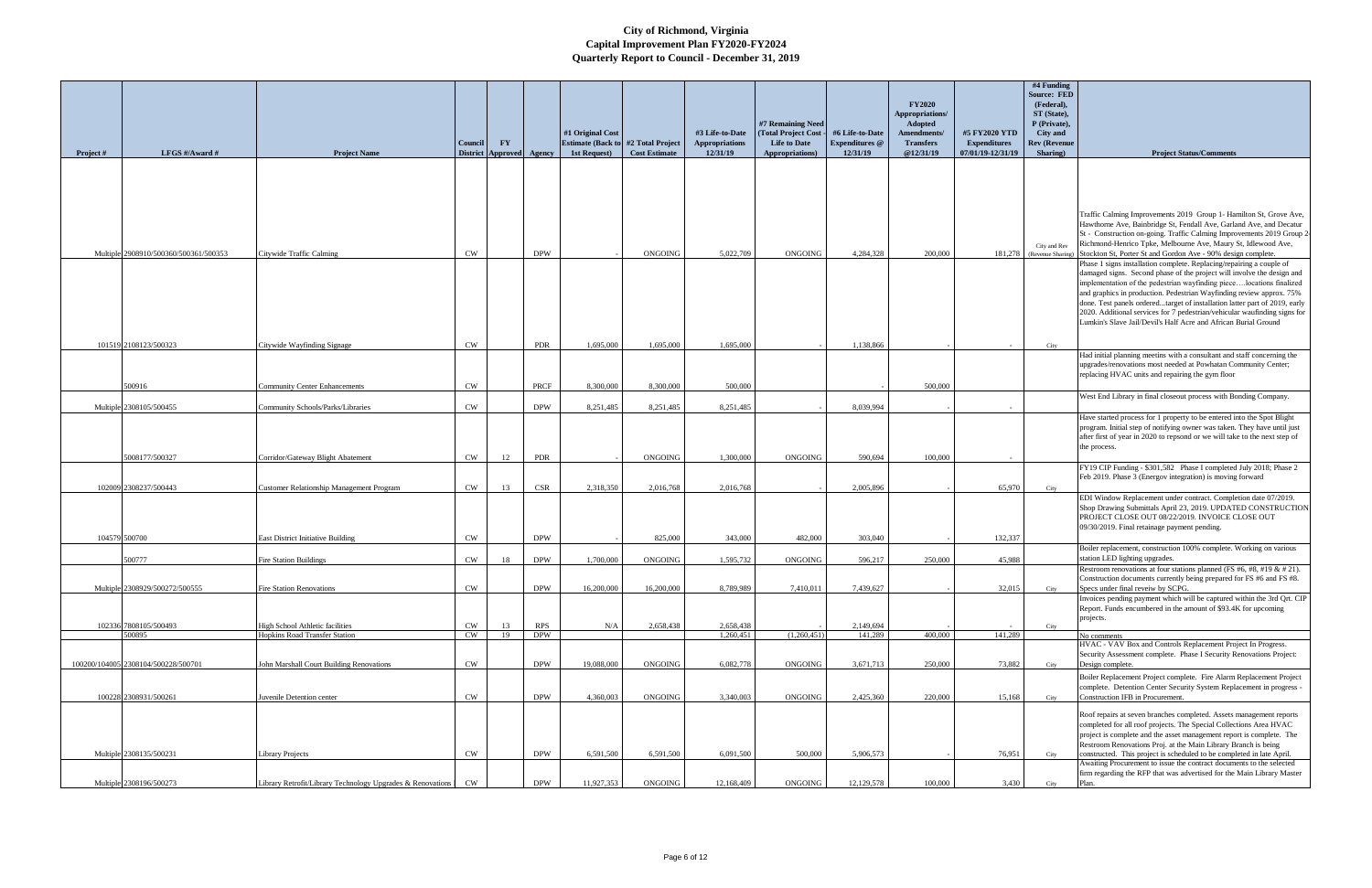|           |                                       |                                                              | <b>Council</b> | <b>FY</b>                |            | #1 Original Cost<br><b>Estimate (Back to #2 Total Project)</b> |                      | #3 Life-to-Date<br><b>Appropriations</b> | #7 Remaining Need<br>(Total Project Cost -<br><b>Life to Date</b> | #6 Life-to-Date<br><b>Expenditures</b> @ | <b>FY2020</b><br>Appropriations/<br>Adopted<br>Amendments/<br><b>Transfers</b> | #5 FY2020 YTD<br><b>Expenditures</b> | #4 Funding<br><b>Source: FED</b><br>(Federal),<br>ST (State),<br>P (Private),<br>City and<br><b>Rev (Revenue</b> |                                                                                                                                                                                                                                                                                                                                                                                                                                                                                                                              |
|-----------|---------------------------------------|--------------------------------------------------------------|----------------|--------------------------|------------|----------------------------------------------------------------|----------------------|------------------------------------------|-------------------------------------------------------------------|------------------------------------------|--------------------------------------------------------------------------------|--------------------------------------|------------------------------------------------------------------------------------------------------------------|------------------------------------------------------------------------------------------------------------------------------------------------------------------------------------------------------------------------------------------------------------------------------------------------------------------------------------------------------------------------------------------------------------------------------------------------------------------------------------------------------------------------------|
| Project # | LFGS #/Award #                        | <b>Project Name</b>                                          |                | District Approved Agency |            | 1st Request)                                                   | <b>Cost Estimate</b> | 12/31/19                                 | Appropriations)                                                   | 12/31/19                                 | @12/31/19                                                                      | 07/01/19-12/31/19                    | Sharing)                                                                                                         | <b>Project Status/Comments</b>                                                                                                                                                                                                                                                                                                                                                                                                                                                                                               |
|           |                                       |                                                              |                |                          |            |                                                                |                      |                                          |                                                                   |                                          |                                                                                |                                      |                                                                                                                  | Traffic Calming Improvements 2019 Group 1- Hamilton St, Grove Ave,<br>Hawthorne Ave, Bainbridge St, Fendall Ave, Garland Ave, and Decatur<br>St - Construction on-going. Traffic Calming Improvements 2019 Group 2<br>Richmond-Henrico Tpke, Melbourne Ave, Maury St, Idlewood Ave,                                                                                                                                                                                                                                          |
|           | Multiple 2908910/500360/500361/500353 | Citywide Traffic Calming                                     | <b>CW</b>      |                          | <b>DPW</b> |                                                                | <b>ONGOING</b>       | 5,022,709                                | ONGOING                                                           | 4,284,328                                | 200,000                                                                        |                                      | City and Rev<br>181,278 (Revenue Sharing                                                                         | Stockton St, Porter St and Gordon Ave - 90% design complete.                                                                                                                                                                                                                                                                                                                                                                                                                                                                 |
|           |                                       |                                                              |                |                          |            |                                                                |                      |                                          |                                                                   |                                          |                                                                                |                                      |                                                                                                                  | Phase 1 signs installation complete. Replacing/repairing a couple of<br>damaged signs. Second phase of the project will involve the design and<br>implementation of the pedestrian wayfinding piecelocations finalized<br>and graphics in production. Pedestrian Wayfinding review approx. 75%<br>done. Test panels orderedtarget of installation latter part of 2019, early<br>2020. Additional services for 7 pedestrian/vehicular waufinding signs for<br>Lumkin's Slave Jail/Devil's Half Acre and African Burial Ground |
|           | 101519 2108123/500323                 | Citywide Wayfinding Signage                                  | <b>CW</b>      |                          | <b>PDR</b> | 1,695,000                                                      | 1,695,000            | 1,695,000                                |                                                                   | 1,138,866                                |                                                                                |                                      | City                                                                                                             |                                                                                                                                                                                                                                                                                                                                                                                                                                                                                                                              |
|           | 500916                                | <b>Community Center Enhancements</b>                         | <b>CW</b>      |                          | PRCF       | 8,300,000                                                      | 8,300,000            | 500,000                                  |                                                                   |                                          | 500,000                                                                        |                                      |                                                                                                                  | Had initial planning meetins with a consultant and staff concerning the<br>upgrades/renovations most needed at Powhatan Community Center;<br>replacing HVAC units and repairing the gym floor                                                                                                                                                                                                                                                                                                                                |
|           |                                       |                                                              |                |                          |            |                                                                |                      |                                          |                                                                   |                                          |                                                                                |                                      |                                                                                                                  | West End Library in final closeout process with Bonding Company.                                                                                                                                                                                                                                                                                                                                                                                                                                                             |
|           | Multiple 2308105/500455               | Community Schools/Parks/Libraries                            | <b>CW</b>      |                          | <b>DPW</b> | 8,251,485                                                      | 8.251.485            | 8,251,485                                |                                                                   | 8.039.994                                |                                                                                |                                      |                                                                                                                  |                                                                                                                                                                                                                                                                                                                                                                                                                                                                                                                              |
|           | 5008177/500327                        | Corridor/Gateway Blight Abatement                            | CW             | 12                       | <b>PDR</b> |                                                                | ONGOING              | 1,300,000                                | ONGOING                                                           | 590,694                                  | 100,000                                                                        |                                      |                                                                                                                  | Have started process for 1 property to be entered into the Spot Blight<br>program. Initial step of notifying owner was taken. They have until just<br>after first of year in 2020 to repsond or we will take to the next step of<br>the process.                                                                                                                                                                                                                                                                             |
|           |                                       |                                                              |                |                          |            |                                                                |                      |                                          |                                                                   |                                          |                                                                                |                                      |                                                                                                                  | FY19 CIP Funding - \$301,582 Phase I completed July 2018; Phase 2                                                                                                                                                                                                                                                                                                                                                                                                                                                            |
|           |                                       |                                                              |                |                          |            |                                                                |                      |                                          |                                                                   |                                          |                                                                                |                                      |                                                                                                                  | Feb 2019. Phase 3 (Energov integration) is moving forward                                                                                                                                                                                                                                                                                                                                                                                                                                                                    |
|           | 102009 2308237/500443                 | <b>Customer Relationship Management Program</b>              | CW             | 13                       | CSR        | 2,318,350                                                      | 2,016,768            | 2,016,768                                |                                                                   | 2.005.896                                |                                                                                | 65,970                               | City                                                                                                             | EDI Window Replacement under contract. Completion date 07/2019.<br>Shop Drawing Submittals April 23, 2019. UPDATED CONSTRUCTION<br>PROJECT CLOSE OUT 08/22/2019. INVOICE CLOSE OUT<br>09/30/2019. Final retainage payment pending.                                                                                                                                                                                                                                                                                           |
|           | 104579 500700                         | <b>East District Initiative Building</b>                     | <b>CW</b>      |                          | <b>DPW</b> |                                                                | 825,000              | 343,000                                  | 482,000                                                           | 303,040                                  |                                                                                | 132,337                              |                                                                                                                  | Boiler replacement, construction 100% complete. Working on various                                                                                                                                                                                                                                                                                                                                                                                                                                                           |
|           | 500777                                | <b>Fire Station Buildings</b>                                | <b>CW</b>      | 18                       | <b>DPW</b> | 1,700,000                                                      | <b>ONGOING</b>       | 1,595,732                                | <b>ONGOING</b>                                                    | 596,217                                  | 250,000                                                                        | 45.988                               |                                                                                                                  | station LED lighting upgrades.                                                                                                                                                                                                                                                                                                                                                                                                                                                                                               |
|           |                                       |                                                              |                |                          |            |                                                                |                      |                                          |                                                                   |                                          |                                                                                |                                      |                                                                                                                  | Restroom renovations at four stations planned (FS #6, #8, #19 & # 21).<br>Construction documents currently being prepared for FS #6 and FS #8.                                                                                                                                                                                                                                                                                                                                                                               |
|           | Multiple 2308929/500272/500555        | <b>Fire Station Renovations</b>                              | CW             |                          | <b>DPW</b> | 16,200,000                                                     | 16,200,000           | 8,789,989                                | 7,410,011                                                         | 7,439,627                                |                                                                                | 32,015                               | City                                                                                                             | Specs under final reveiw by SCPG.                                                                                                                                                                                                                                                                                                                                                                                                                                                                                            |
|           | 102336 7808105/500493                 | High School Athletic facilities                              | <b>CW</b>      | 13                       | <b>RPS</b> | N/A                                                            | 2,658,438            | 2,658,438                                |                                                                   |                                          |                                                                                |                                      |                                                                                                                  | Invoices pending payment which will be captured within the 3rd Qrt. CIP<br>Report. Funds encumbered in the amount of \$93.4K for upcoming<br>projects.                                                                                                                                                                                                                                                                                                                                                                       |
|           | 500895                                | <b>Hopkins Road Transfer Station</b>                         | <b>CW</b>      | 19                       | <b>DPW</b> |                                                                |                      | 1,260,451                                | (1,260,451)                                                       | 2,149,694<br>141,289                     | 400,000                                                                        | 141,289                              | City                                                                                                             | No comments                                                                                                                                                                                                                                                                                                                                                                                                                                                                                                                  |
|           |                                       |                                                              |                |                          |            |                                                                |                      |                                          |                                                                   |                                          |                                                                                |                                      |                                                                                                                  | HVAC - VAV Box and Controls Replacement Project In Progress.                                                                                                                                                                                                                                                                                                                                                                                                                                                                 |
|           | 100200/104005 2308104/500228/500701   | John Marshall Court Building Renovations                     | <b>CW</b>      |                          | <b>DPW</b> | 19,088,000                                                     | <b>ONGOING</b>       | 6,082,778                                | <b>ONGOING</b>                                                    | 3,671,713                                | 250,000                                                                        | 73.882                               | City                                                                                                             | Security Assessment complete. Phase I Security Renovations Project:<br>Design complete.                                                                                                                                                                                                                                                                                                                                                                                                                                      |
|           | 100228 2308931/500261                 | Juvenile Detention center                                    | CW             |                          | <b>DPW</b> | 4,360,003                                                      | <b>ONGOING</b>       | 3,340,003                                | <b>ONGOING</b>                                                    | 2,425,360                                | 220,000                                                                        | 15,168                               | City                                                                                                             | Boiler Replacement Project complete. Fire Alarm Replacement Project<br>complete. Detention Center Security System Replacement in progress -<br>Construction IFB in Procurement.                                                                                                                                                                                                                                                                                                                                              |
|           |                                       |                                                              |                |                          |            |                                                                |                      |                                          |                                                                   |                                          |                                                                                |                                      |                                                                                                                  | Roof repairs at seven branches completed. Assets management reports<br>completed for all roof projects. The Special Collections Area HVAC<br>project is complete and the asset management report is complete. The<br>Restroom Renovations Proj. at the Main Library Branch is being                                                                                                                                                                                                                                          |
|           | Multiple 2308135/500231               | <b>Library Projects</b>                                      | <b>CW</b>      |                          | <b>DPW</b> | 6,591,500                                                      | 6,591,500            | 6,091,500                                | 500,000                                                           | 5,906,573                                |                                                                                | 76,951                               | City                                                                                                             | constructed. This project is scheduled to be completed in late April.<br>Awaiting Procurement to issue the contract documents to the selected                                                                                                                                                                                                                                                                                                                                                                                |
|           | Multiple 2308196/500273               | Library Retrofit/Library Technology Upgrades & Renovations 1 | CW             |                          | <b>DPW</b> | 11,927,353                                                     | ONGOING              | 12,168,409                               | ONGOING                                                           | 12,129,578                               | 100,000                                                                        | 3,430                                | City                                                                                                             | firm regarding the RFP that was advertised for the Main Library Master<br>Plan.                                                                                                                                                                                                                                                                                                                                                                                                                                              |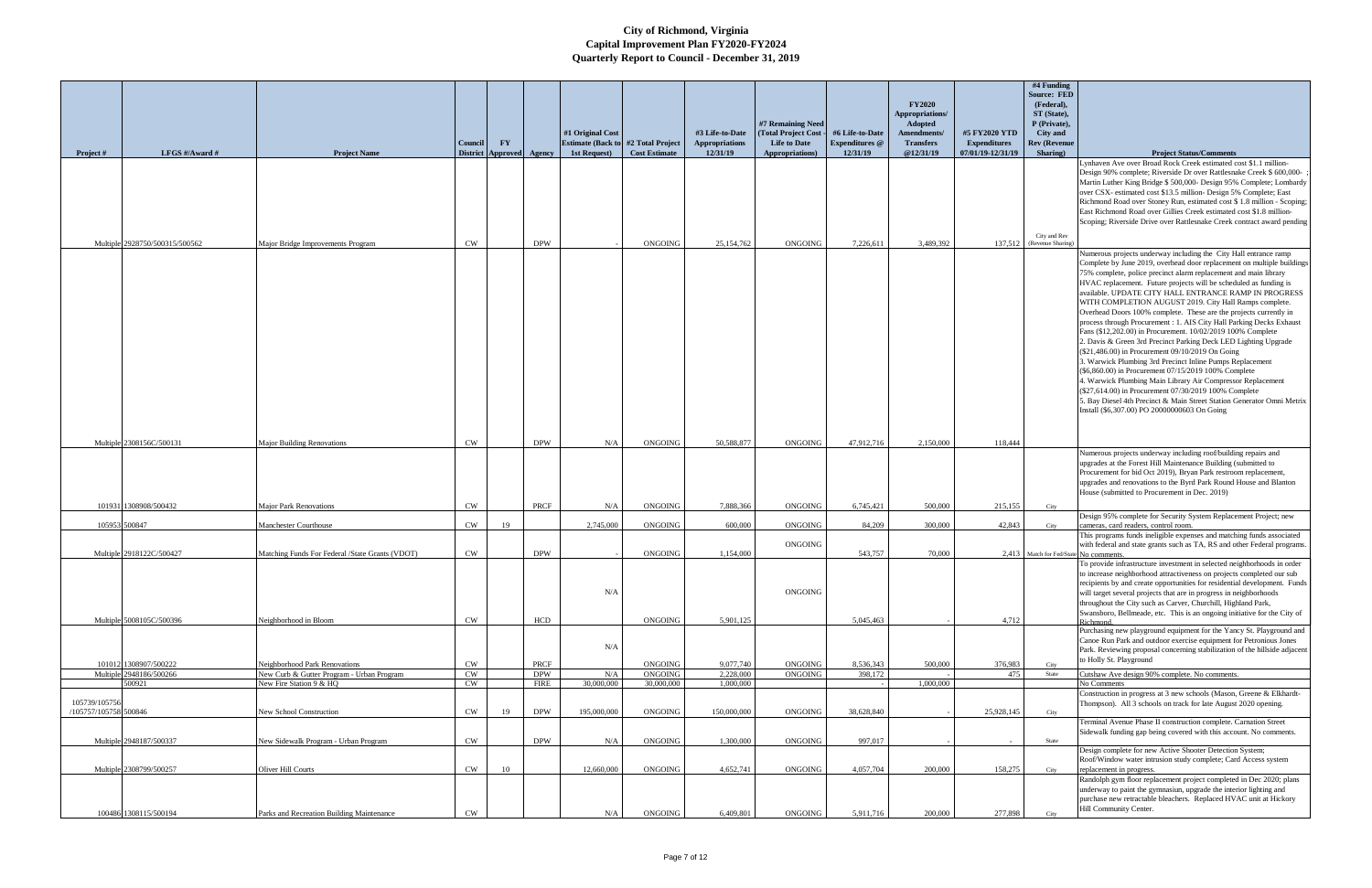| Project #                              | LFGS #/Award #                            | <b>Project Name</b>                                                      | Council<br><b>District</b> | $\mathbf{F}\mathbf{Y}$<br><b>Approved</b> | Agency                    | #1 Original Cost<br><b>Estimate (Back to #2 Total Project)</b><br>1st Request) | <b>Cost Estimate</b>         | #3 Life-to-Date<br>Appropriations<br>12/31/19 | #7 Remaining Need<br>(Total Project Cost<br><b>Life to Date</b><br>Appropriations) | #6 Life-to-Date<br><b>Expenditures</b> @<br>12/31/19 | <b>FY2020</b><br>Appropriations/<br><b>Adopted</b><br>Amendments/<br><b>Transfers</b><br>@12/31/19 | #5 FY2020 YTD<br><b>Expenditures</b><br>07/01/19-12/31/19 | #4 Funding<br><b>Source: FED</b><br>(Federal),<br>ST (State),<br>P (Private),<br><b>City</b> and<br><b>Rev (Revenue</b><br>Sharing) | <b>Project Status/Comments</b>                                                                                                                                                                                                                                                                                                                                                                                                                                                                                                                                                                                                                                                                                                                                                                                                                                                                                                                                                                                                                                                                                   |
|----------------------------------------|-------------------------------------------|--------------------------------------------------------------------------|----------------------------|-------------------------------------------|---------------------------|--------------------------------------------------------------------------------|------------------------------|-----------------------------------------------|------------------------------------------------------------------------------------|------------------------------------------------------|----------------------------------------------------------------------------------------------------|-----------------------------------------------------------|-------------------------------------------------------------------------------------------------------------------------------------|------------------------------------------------------------------------------------------------------------------------------------------------------------------------------------------------------------------------------------------------------------------------------------------------------------------------------------------------------------------------------------------------------------------------------------------------------------------------------------------------------------------------------------------------------------------------------------------------------------------------------------------------------------------------------------------------------------------------------------------------------------------------------------------------------------------------------------------------------------------------------------------------------------------------------------------------------------------------------------------------------------------------------------------------------------------------------------------------------------------|
|                                        |                                           |                                                                          |                            |                                           |                           |                                                                                |                              |                                               |                                                                                    |                                                      |                                                                                                    |                                                           |                                                                                                                                     | Lynhaven Ave over Broad Rock Creek estimated cost \$1.1 million-<br>Design 90% complete; Riverside Dr over Rattlesnake Creek \$ 600,000-<br>Martin Luther King Bridge \$ 500,000- Design 95% Complete; Lombardy<br>over CSX- estimated cost \$13.5 million- Design 5% Complete; East<br>Richmond Road over Stoney Run, estimated cost \$1.8 million - Scoping;<br>East Richmond Road over Gillies Creek estimated cost \$1.8 million-<br>Scoping; Riverside Drive over Rattlesnake Creek contract award pending                                                                                                                                                                                                                                                                                                                                                                                                                                                                                                                                                                                                  |
|                                        | Multiple 2928750/500315/500562            | Major Bridge Improvements Program                                        | <b>CW</b>                  |                                           | <b>DPW</b>                |                                                                                | <b>ONGOING</b>               | 25,154,762                                    | <b>ONGOING</b>                                                                     | 7,226,611                                            | 3,489,392                                                                                          |                                                           | City and Rev<br>137,512 (Revenue Sharing)                                                                                           | Numerous projects underway including the City Hall entrance ramp<br>Complete by June 2019, overhead door replacement on multiple buildings<br>75% complete, police precinct alarm replacement and main library<br>HVAC replacement. Future projects will be scheduled as funding is<br>available. UPDATE CITY HALL ENTRANCE RAMP IN PROGRESS<br>WITH COMPLETION AUGUST 2019. City Hall Ramps complete.<br>Overhead Doors 100% complete. These are the projects currently in<br>process through Procurement : 1. AIS City Hall Parking Decks Exhaust<br>Fans (\$12,202.00) in Procurement. 10/02/2019 100% Complete<br>2. Davis & Green 3rd Precinct Parking Deck LED Lighting Upgrade<br>(\$21,486.00) in Procurement 09/10/2019 On Going<br>3. Warwick Plumbing 3rd Precinct Inline Pumps Replacement<br>(\$6,860.00) in Procurement 07/15/2019 100% Complete<br>4. Warwick Plumbing Main Library Air Compressor Replacement<br>(\$27,614.00) in Procurement 07/30/2019 100% Complete<br>5. Bay Diesel 4th Precinct & Main Street Station Generator Omni Metrix<br>Install (\$6,307.00) PO 20000000603 On Going |
|                                        | Multiple 2308156C/500131                  | <b>Major Building Renovations</b>                                        | CW                         |                                           | <b>DPW</b>                | N/A                                                                            | <b>ONGOING</b>               | 50,588,877                                    | <b>ONGOING</b>                                                                     | 47,912,716                                           | 2,150,000                                                                                          | 118,444                                                   |                                                                                                                                     | Numerous projects underway including roof/building repairs and<br>upgrades at the Forest Hill Maintenance Building (submitted to<br>Procurement for bid Oct 2019), Bryan Park restroom replacement,<br>upgrades and renovations to the Byrd Park Round House and Blanton<br>House (submitted to Procurement in Dec. 2019)                                                                                                                                                                                                                                                                                                                                                                                                                                                                                                                                                                                                                                                                                                                                                                                        |
|                                        | 101931 1308908/500432                     | <b>Major Park Renovations</b>                                            | <b>CW</b>                  |                                           | PRCF                      | N/A                                                                            | ONGOING                      | 7,888,366                                     | ONGOING                                                                            | 6,745,421                                            | 500,000                                                                                            | 215,155                                                   | City                                                                                                                                | Design 95% complete for Security System Replacement Project; new                                                                                                                                                                                                                                                                                                                                                                                                                                                                                                                                                                                                                                                                                                                                                                                                                                                                                                                                                                                                                                                 |
|                                        | 105953 500847<br>Multiple 2918122C/500427 | Manchester Courthouse<br>Matching Funds For Federal /State Grants (VDOT) | CW<br><b>CW</b>            | 19                                        | <b>DPW</b>                | 2,745,000                                                                      | ONGOING<br><b>ONGOING</b>    | 600,000<br>1,154,000                          | <b>ONGOING</b><br><b>ONGOING</b>                                                   | 84,209<br>543,757                                    | 300,000<br>70,000                                                                                  | 42,843                                                    | City<br>2,413 Match for Fed/State No comments.                                                                                      | cameras, card readers, control room.<br>This programs funds ineligible expenses and matching funds associated<br>with federal and state grants such as TA, RS and other Federal programs.<br>To provide infrastructure investment in selected neighborhoods in order<br>to increase neighborhood attractiveness on projects completed our sub<br>recipients by and create opportunities for residential development. Funds                                                                                                                                                                                                                                                                                                                                                                                                                                                                                                                                                                                                                                                                                       |
|                                        | Multiple 5008105C/500396                  | Neighborhood in Bloom                                                    | <b>CW</b>                  |                                           | HCD                       | N/A<br>N/A                                                                     | ONGOING                      | 5,901,125                                     | ONGOING                                                                            | 5,045,463                                            |                                                                                                    | 4,712                                                     |                                                                                                                                     | will target several projects that are in progress in neighborhoods<br>throughout the City such as Carver, Churchill, Highland Park,<br>Swansboro, Bellmeade, etc. This is an ongoing initiative for the City of<br>Richmond.<br>Purchasing new playground equipment for the Yancy St. Playground and<br>Canoe Run Park and outdoor exercise equipment for Petronious Jones                                                                                                                                                                                                                                                                                                                                                                                                                                                                                                                                                                                                                                                                                                                                       |
|                                        | 101012 1308907/500222                     | Neighborhood Park Renovations                                            | <b>CW</b>                  |                                           | PRCF                      |                                                                                | ONGOING                      | 9,077,740                                     | ONGOING                                                                            | 8,536,343                                            | 500,000                                                                                            | 376,983                                                   | City                                                                                                                                | Park. Reviewing proposal concerning stabilization of the hillside adjacent<br>to Holly St. Playground                                                                                                                                                                                                                                                                                                                                                                                                                                                                                                                                                                                                                                                                                                                                                                                                                                                                                                                                                                                                            |
|                                        | Multiple 2948186/500266<br>500921         | New Curb & Gutter Program - Urban Program<br>New Fire Station 9 & HQ     | CW<br><b>CW</b>            |                                           | <b>DPW</b><br><b>FIRE</b> | N/A<br>30,000,000                                                              | <b>ONGOING</b><br>30,000,000 | 2,228,000<br>1,000,000                        | <b>ONGOING</b>                                                                     | 398,172                                              | 1,000,000                                                                                          | 475                                                       | State                                                                                                                               | Cutshaw Ave design 90% complete. No comments.<br>No Comments                                                                                                                                                                                                                                                                                                                                                                                                                                                                                                                                                                                                                                                                                                                                                                                                                                                                                                                                                                                                                                                     |
| 105739/105756<br>/105757/105758 500846 |                                           | New School Construction                                                  | CW                         | 19                                        | <b>DPW</b>                | 195,000,000                                                                    | <b>ONGOING</b>               | 150,000,000                                   | <b>ONGOING</b>                                                                     | 38,628,840                                           |                                                                                                    | 25,928,145                                                | City                                                                                                                                | Construction in progress at 3 new schools (Mason, Greene & Elkhardt-<br>Thompson). All 3 schools on track for late August 2020 opening.<br>Terminal Avenue Phase II construction complete. Carnation Street                                                                                                                                                                                                                                                                                                                                                                                                                                                                                                                                                                                                                                                                                                                                                                                                                                                                                                      |
|                                        | Multiple 2948187/500337                   | New Sidewalk Program - Urban Program                                     | $\mathrm{CW}$              |                                           | <b>DPW</b>                | N/A                                                                            | ONGOING                      | 1,300,000                                     | <b>ONGOING</b>                                                                     | 997,017                                              |                                                                                                    |                                                           | State                                                                                                                               | Sidewalk funding gap being covered with this account. No comments.<br>Design complete for new Active Shooter Detection System;                                                                                                                                                                                                                                                                                                                                                                                                                                                                                                                                                                                                                                                                                                                                                                                                                                                                                                                                                                                   |
|                                        | Multiple 2308799/500257                   | Oliver Hill Courts                                                       | CW                         | 10                                        |                           | 12,660,000                                                                     | ONGOING                      | 4,652,741                                     | <b>ONGOING</b>                                                                     | 4,057,704                                            | 200,000                                                                                            | 158,275                                                   | City                                                                                                                                | Roof/Window water intrusion study complete; Card Access system<br>replacement in progress.<br>Randolph gym floor replacement project completed in Dec 2020; plans<br>underway to paint the gymnasiun, upgrade the interior lighting and<br>purchase new retractable bleachers. Replaced HVAC unit at Hickory                                                                                                                                                                                                                                                                                                                                                                                                                                                                                                                                                                                                                                                                                                                                                                                                     |
|                                        | 100486 1308115/500194                     | Parks and Recreation Building Maintenance                                | CW                         |                                           |                           | N/A                                                                            | ONGOING                      | 6,409,801                                     | ONGOING                                                                            | 5,911,716                                            | 200,000                                                                                            | 277,898                                                   | City                                                                                                                                | Hill Community Center.                                                                                                                                                                                                                                                                                                                                                                                                                                                                                                                                                                                                                                                                                                                                                                                                                                                                                                                                                                                                                                                                                           |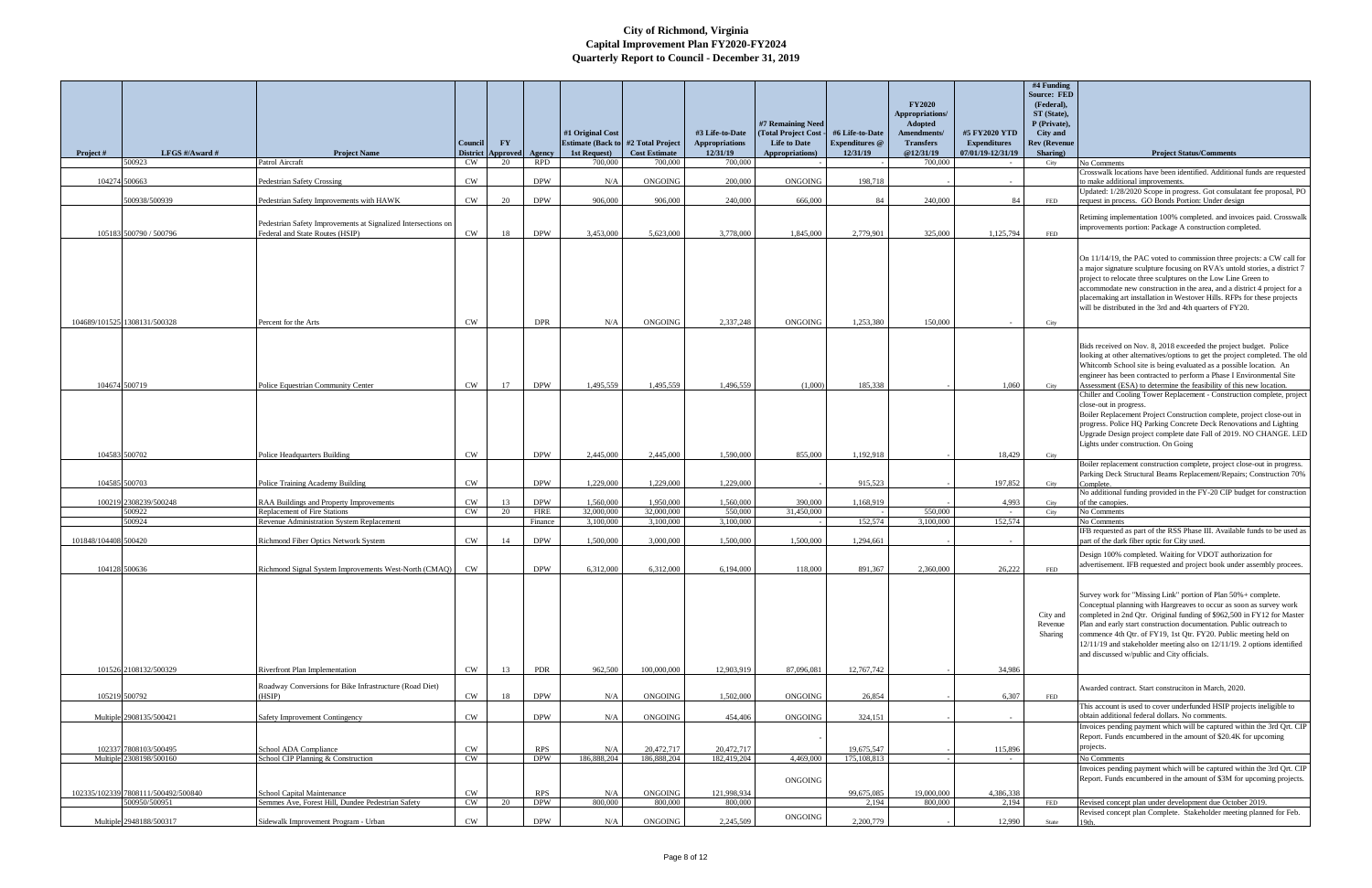|                      |                                     |                                                                                                  | Council                      | $\mathbf{F}\mathbf{Y}$ |                           | #1 Original Cost<br><b>Estimate (Back to #2 Total Project</b> |                                 | #3 Life-to-Date<br><b>Appropriations</b> | #7 Remaining Need<br>(Total Project Cost -<br><b>Life to Date</b> | #6 Life-to-Date<br><b>Expenditures</b> @ | <b>FY2020</b><br>Appropriations/<br>Adopted<br>Amendments/<br><b>Transfers</b> | #5 FY2020 YTD<br><b>Expenditures</b> | #4 Funding<br><b>Source: FED</b><br>(Federal),<br>ST (State),<br>P (Private),<br><b>City</b> and<br><b>Rev (Revenue</b> | <b>Project Status/Comments</b>                                                                                                                                                                                                                                                                                                                                                                                                                                                      |
|----------------------|-------------------------------------|--------------------------------------------------------------------------------------------------|------------------------------|------------------------|---------------------------|---------------------------------------------------------------|---------------------------------|------------------------------------------|-------------------------------------------------------------------|------------------------------------------|--------------------------------------------------------------------------------|--------------------------------------|-------------------------------------------------------------------------------------------------------------------------|-------------------------------------------------------------------------------------------------------------------------------------------------------------------------------------------------------------------------------------------------------------------------------------------------------------------------------------------------------------------------------------------------------------------------------------------------------------------------------------|
| Project #            | LFGS #/Award #<br>500923            | <b>Project Name</b><br>Patrol Aircraft                                                           | <b>District</b><br><b>CW</b> | Approved Agency<br>20  | <b>RPD</b>                | 1st Request)<br>700,000                                       | <b>Cost Estimate</b><br>700,000 | 12/31/19<br>700,000                      | Appropriations)                                                   | 12/31/19                                 | @12/31/19<br>700,000                                                           | 07/01/19-12/31/19                    | Sharing)<br>City                                                                                                        | No Comments                                                                                                                                                                                                                                                                                                                                                                                                                                                                         |
| 104274 500663        |                                     | <b>Pedestrian Safety Crossing</b>                                                                | <b>CW</b>                    |                        | <b>DPW</b>                | N/A                                                           | ONGOING                         | 200,000                                  | ONGOING                                                           | 198,718                                  |                                                                                |                                      |                                                                                                                         | Crosswalk locations have been identified. Additional funds are requested<br>to make additional improvements.                                                                                                                                                                                                                                                                                                                                                                        |
|                      | 500938/500939                       | Pedestrian Safety Improvements with HAWK                                                         | <b>CW</b>                    | 20                     | <b>DPW</b>                | 906,000                                                       | 906,000                         | 240,000                                  | 666,000                                                           | 84                                       | 240,000                                                                        | 84                                   | FED                                                                                                                     | Updated: 1/28/2020 Scope in progress. Got consulatant fee proposal, PO<br>request in process. GO Bonds Portion: Under design                                                                                                                                                                                                                                                                                                                                                        |
|                      | 105183 500790 / 500796              | Pedestrian Safety Improvements at Signalized Intersections on<br>Federal and State Routes (HSIP) | <b>CW</b>                    | 18                     | <b>DPW</b>                | 3,453,000                                                     | 5,623,000                       | 3,778,000                                | 1,845,000                                                         | 2,779,901                                | 325,000                                                                        | 1,125,794                            | FED                                                                                                                     | Retiming implementation 100% completed. and invoices paid. Crosswalk<br>improvements portion: Package A construction completed.                                                                                                                                                                                                                                                                                                                                                     |
|                      | 104689/101525 1308131/500328        | Percent for the Arts                                                                             | <b>CW</b>                    |                        | <b>DPR</b>                | N/A                                                           | <b>ONGOING</b>                  | 2,337,248                                | ONGOING                                                           | 1,253,380                                | 150,000                                                                        |                                      | City                                                                                                                    | On 11/14/19, the PAC voted to commission three projects: a CW call for<br>a major signature sculpture focusing on RVA's untold stories, a district 7<br>project to relocate three sculptures on the Low Line Green to<br>accommodate new construction in the area, and a district 4 project for a<br>placemaking art installation in Westover Hills. RFPs for these projects<br>will be distributed in the 3rd and 4th quarters of FY20.                                            |
| 104674 500719        |                                     | Police Equestrian Community Center                                                               | <b>CW</b>                    | 17                     | <b>DPW</b>                | 1,495,559                                                     | 1,495,559                       | 1,496,559                                | (1,000)                                                           | 185,338                                  |                                                                                | 1.060                                | City                                                                                                                    | Bids received on Nov. 8, 2018 exceeded the project budget. Police<br>looking at other alternatives/options to get the project completed. The old<br>Whitcomb School site is being evaluated as a possible location. An<br>engineer has been contracted to perform a Phase I Environmental Site<br>Assessment (ESA) to determine the feasibility of this new location.                                                                                                               |
| 104583 500702        |                                     | Police Headquarters Building                                                                     | <b>CW</b>                    |                        | <b>DPW</b>                | 2,445,000                                                     | 2,445,000                       | 1.590,000                                | 855,000                                                           | 1,192,918                                |                                                                                | 18,429                               | City                                                                                                                    | Chiller and Cooling Tower Replacement - Construction complete, project<br>close-out in progress.<br>Boiler Replacement Project Construction complete, project close-out in<br>progress. Police HQ Parking Concrete Deck Renovations and Lighting<br>Upgrade Design project complete date Fall of 2019. NO CHANGE. LED<br>Lights under construction. On Going                                                                                                                        |
| 104585 500703        |                                     | Police Training Academy Building                                                                 | CW                           |                        | <b>DPW</b>                | 1,229,000                                                     | 1,229,000                       | 1,229,000                                |                                                                   | 915,523                                  |                                                                                | 197,852                              | City                                                                                                                    | Boiler replacement construction complete, project close-out in progress.<br>Parking Deck Structural Beams Replacement/Repairs; Construction 70%<br>Complete.                                                                                                                                                                                                                                                                                                                        |
|                      |                                     |                                                                                                  |                              |                        |                           |                                                               |                                 |                                          |                                                                   |                                          |                                                                                |                                      |                                                                                                                         | No additional funding provided in the FY-20 CIP budget for construction                                                                                                                                                                                                                                                                                                                                                                                                             |
|                      | 100219 2308239/500248<br>500922     | RAA Buildings and Property Improvements<br>Replacement of Fire Stations                          | <b>CW</b><br>CW              | 13<br>20               | <b>DPW</b><br><b>FIRE</b> | 1,560,000<br>32,000,000                                       | 1,950,000<br>32,000,000         | 1,560,000<br>550,000                     | 390,000<br>31,450,000                                             | 1,168,919                                | 550,000                                                                        | 4,993                                | City<br>City                                                                                                            | of the canopies.<br>No Comments                                                                                                                                                                                                                                                                                                                                                                                                                                                     |
|                      | 500924                              | Revenue Administration System Replacement                                                        |                              |                        | Finance                   | 3.100,000                                                     | 3.100,000                       | 3.100,000                                |                                                                   | 152,574                                  | 3,100,000                                                                      | 152,574                              |                                                                                                                         | No Comments                                                                                                                                                                                                                                                                                                                                                                                                                                                                         |
| 101848/104408 500420 |                                     | Richmond Fiber Optics Network System                                                             | <b>CW</b>                    | 14                     | <b>DPW</b>                | 1,500,000                                                     | 3,000,000                       | 1,500,000                                | 1,500,000                                                         | 1,294,661                                |                                                                                |                                      |                                                                                                                         | IFB requested as part of the RSS Phase III. Available funds to be used as<br>part of the dark fiber optic for City used.                                                                                                                                                                                                                                                                                                                                                            |
|                      |                                     |                                                                                                  |                              |                        |                           |                                                               |                                 |                                          |                                                                   |                                          |                                                                                |                                      |                                                                                                                         | Design 100% completed. Waiting for VDOT authorization for<br>advertisement. IFB requested and project book under assembly procees.                                                                                                                                                                                                                                                                                                                                                  |
| 104128 500636        | 101526 2108132/500329               | Richmond Signal System Improvements West-North (CMAQ)<br>Riverfront Plan Implementation          | <b>CW</b><br>CW              | 13                     | <b>DPW</b><br><b>PDR</b>  | 6,312,000<br>962,500                                          | 6,312,000<br>100,000,000        | 6,194,000<br>12,903,919                  | 118,000<br>87,096,081                                             | 891,367<br>12,767,742                    | 2.360,000                                                                      | 26,222<br>34,986                     | FED<br>City and<br>Revenue<br>Sharing                                                                                   | Survey work for "Missing Link" portion of Plan 50% + complete.<br>Conceptual planning with Hargreaves to occur as soon as survey work<br>completed in 2nd Qtr. Original funding of \$962,500 in FY12 for Master<br>Plan and early start construction documentation. Public outreach to<br>commence 4th Qtr. of FY19, 1st Qtr. FY20. Public meeting held on<br>12/11/19 and stakeholder meeting also on 12/11/19. 2 options identified<br>and discussed w/public and City officials. |
|                      |                                     | Roadway Conversions for Bike Infrastructure (Road Diet)                                          |                              |                        |                           |                                                               |                                 |                                          |                                                                   |                                          |                                                                                |                                      |                                                                                                                         | Awarded contract. Start construciton in March, 2020.                                                                                                                                                                                                                                                                                                                                                                                                                                |
| 105219 500792        |                                     | (HSIP)                                                                                           | CW                           | 18                     | <b>DPW</b>                | N/A                                                           | ONGOING                         | 1,502,000                                | ONGOING                                                           | 26,854                                   |                                                                                | 6,307                                | FED                                                                                                                     | This account is used to cover underfunded HSIP projects ineligible to                                                                                                                                                                                                                                                                                                                                                                                                               |
|                      | Multiple 2908135/500421             | Safety Improvement Contingency                                                                   | CW                           |                        | <b>DPW</b>                | N/A                                                           | ONGOING                         | 454,406                                  | ONGOING                                                           | 324,151                                  |                                                                                |                                      |                                                                                                                         | obtain additional federal dollars. No comments.<br>Invoices pending payment which will be captured within the 3rd Qrt. CIP                                                                                                                                                                                                                                                                                                                                                          |
|                      | 102337 7808103/500495               | School ADA Compliance                                                                            | CW                           |                        | <b>RPS</b>                | N/A                                                           | 20,472,717                      | 20,472,717                               |                                                                   | 19,675,547                               |                                                                                | 115,896                              |                                                                                                                         | Report. Funds encumbered in the amount of \$20.4K for upcoming<br>projects.                                                                                                                                                                                                                                                                                                                                                                                                         |
|                      | Multiple 2308198/500160             | School CIP Planning & Construction                                                               | CW                           |                        | <b>DPW</b>                | 186,888,204                                                   | 186,888,204                     | 182,419,204                              | 4,469,000                                                         | 175, 108, 813                            |                                                                                | $\sim$                               |                                                                                                                         | No Comments                                                                                                                                                                                                                                                                                                                                                                                                                                                                         |
|                      | 102335/102339 7808111/500492/500840 | School Capital Maintenance                                                                       | CW                           |                        | <b>RPS</b>                | N/A                                                           | ONGOING                         | 121,998,934                              | ONGOING                                                           | 99,675,085                               | 19,000,000                                                                     | 4,386,338                            |                                                                                                                         | Invoices pending payment which will be captured within the 3rd Qrt. CIP<br>Report. Funds encumbered in the amount of \$3M for upcoming projects.                                                                                                                                                                                                                                                                                                                                    |
|                      | 500950/500951                       | Semmes Ave, Forest Hill, Dundee Pedestrian Safety                                                | <b>CW</b>                    | 20                     | <b>DPW</b>                | 800,000                                                       | 800,000                         | 800,000                                  |                                                                   | 2,194                                    | 800,000                                                                        | 2,194                                | FED                                                                                                                     | Revised concept plan under development due October 2019.                                                                                                                                                                                                                                                                                                                                                                                                                            |
|                      |                                     |                                                                                                  | CW                           |                        |                           |                                                               |                                 |                                          | ONGOING                                                           |                                          |                                                                                |                                      |                                                                                                                         | Revised concept plan Complete. Stakeholder meeting planned for Feb.                                                                                                                                                                                                                                                                                                                                                                                                                 |
|                      | Multiple 2948188/500317             | Sidewalk Improvement Program - Urban                                                             |                              |                        | <b>DPW</b>                | N/A                                                           | ONGOING                         | 2,245,509                                |                                                                   | 2,200,779                                |                                                                                | 12,990                               | State                                                                                                                   | 19th.                                                                                                                                                                                                                                                                                                                                                                                                                                                                               |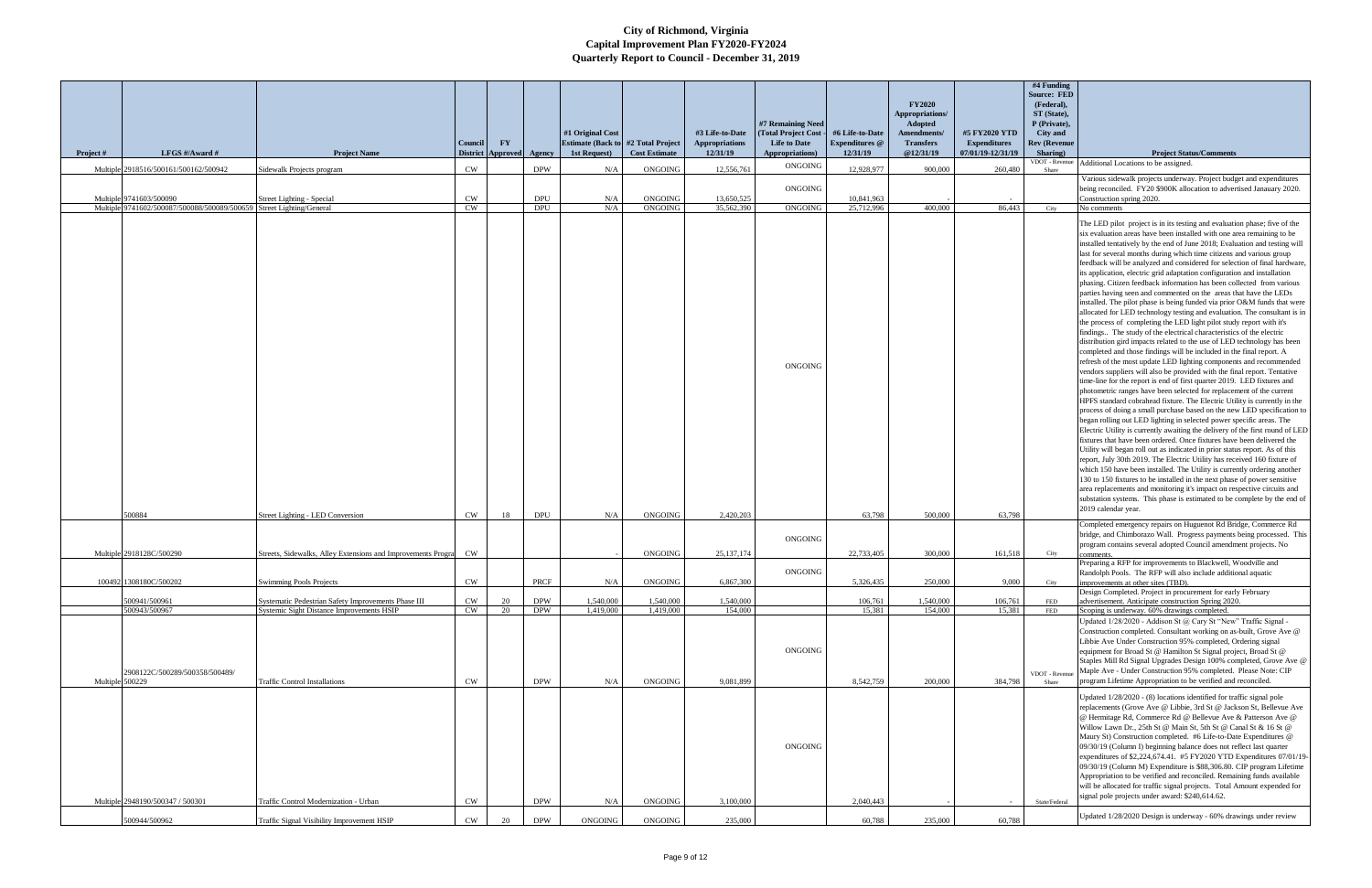| Project #       | LFGS #/Award #                                                       | <b>Project Name</b>                                                               | Council                | $\mathbf{F}\mathbf{Y}$<br>District Approved Agency |                          | #1 Original Cost<br><b>Estimate (Back to</b><br>1st Request) | #2 Total Project<br><b>Cost Estimate</b> | #3 Life-to-Date<br><b>Appropriations</b><br>12/31/19 | #7 Remaining Need<br>(Total Project Cost -<br><b>Life to Date</b><br>Appropriations) | #6 Life-to-Date<br>Expenditures @<br>12/31/19 | <b>FY2020</b><br>Appropriations/<br>Adopted<br>Amendments/<br><b>Transfers</b><br>@12/31/19 | #5 FY2020 YTD<br><b>Expenditures</b><br>07/01/19-12/31/19 | #4 Funding<br><b>Source: FED</b><br>(Federal),<br>ST (State),<br>P (Private),<br>City and<br><b>Rev (Revenue</b><br>Sharing) | <b>Project Status/Comments</b>                                                                                                                                                                                                                                                                                                                                                                                                                                                                                                                                                                                                                                                                                                                                                                                                                                                                                                                                                                                                                                                                                                                                                                                                                                                                                                                                                                                                                                                                                                                                                                                                                                                                                                                                                                                                                                                                                                                                                                                                                                                                                                                                                                                                                                        |
|-----------------|----------------------------------------------------------------------|-----------------------------------------------------------------------------------|------------------------|----------------------------------------------------|--------------------------|--------------------------------------------------------------|------------------------------------------|------------------------------------------------------|--------------------------------------------------------------------------------------|-----------------------------------------------|---------------------------------------------------------------------------------------------|-----------------------------------------------------------|------------------------------------------------------------------------------------------------------------------------------|-----------------------------------------------------------------------------------------------------------------------------------------------------------------------------------------------------------------------------------------------------------------------------------------------------------------------------------------------------------------------------------------------------------------------------------------------------------------------------------------------------------------------------------------------------------------------------------------------------------------------------------------------------------------------------------------------------------------------------------------------------------------------------------------------------------------------------------------------------------------------------------------------------------------------------------------------------------------------------------------------------------------------------------------------------------------------------------------------------------------------------------------------------------------------------------------------------------------------------------------------------------------------------------------------------------------------------------------------------------------------------------------------------------------------------------------------------------------------------------------------------------------------------------------------------------------------------------------------------------------------------------------------------------------------------------------------------------------------------------------------------------------------------------------------------------------------------------------------------------------------------------------------------------------------------------------------------------------------------------------------------------------------------------------------------------------------------------------------------------------------------------------------------------------------------------------------------------------------------------------------------------------------|
|                 | Multiple 2918516/500161/500162/500942                                | Sidewalk Projects program                                                         | <b>CW</b>              |                                                    | <b>DPW</b>               | N/A                                                          | ONGOING                                  | 12,556,761                                           | <b>ONGOING</b>                                                                       | 12.928.977                                    | 900,000                                                                                     | 260,480                                                   | Share                                                                                                                        | VDOT - Revenue Additional Locations to be assigned.                                                                                                                                                                                                                                                                                                                                                                                                                                                                                                                                                                                                                                                                                                                                                                                                                                                                                                                                                                                                                                                                                                                                                                                                                                                                                                                                                                                                                                                                                                                                                                                                                                                                                                                                                                                                                                                                                                                                                                                                                                                                                                                                                                                                                   |
|                 | Multiple 9741603/500090                                              | Street Lighting - Special                                                         | <b>CW</b>              |                                                    | <b>DPU</b>               | N/A                                                          | ONGOING                                  | 13,650,525                                           | ONGOING                                                                              | 10,841,963                                    |                                                                                             |                                                           |                                                                                                                              | Various sidewalk projects underway. Project budget and expenditures<br>being reconciled. FY20 \$900K allocation to advertised Janauary 2020.<br>Construction spring 2020.                                                                                                                                                                                                                                                                                                                                                                                                                                                                                                                                                                                                                                                                                                                                                                                                                                                                                                                                                                                                                                                                                                                                                                                                                                                                                                                                                                                                                                                                                                                                                                                                                                                                                                                                                                                                                                                                                                                                                                                                                                                                                             |
|                 | Multiple 9741602/500087/500088/500089/500659 Street Lighting/General |                                                                                   | CW                     |                                                    | <b>DPU</b>               | N/A                                                          | ONGOING                                  | 35,562,390                                           | <b>ONGOING</b><br><b>ONGOING</b>                                                     | 25,712,996                                    | 400,000                                                                                     | 86,443                                                    | City                                                                                                                         | No comments<br>The LED pilot project is in its testing and evaluation phase; five of the<br>six evaluation areas have been installed with one area remaining to be<br>installed tentatively by the end of June 2018; Evaluation and testing will<br>last for several months during which time citizens and various group<br>feedback will be analyzed and considered for selection of final hardware,<br>its application, electric grid adaptation configuration and installation<br>phasing. Citizen feedback information has been collected from various<br>parties having seen and commented on the areas that have the LEDs<br>installed. The pilot phase is being funded via prior O&M funds that were<br>allocated for LED technology testing and evaluation. The consultant is in<br>the process of completing the LED light pilot study report with it's<br>findings The study of the electrical characteristics of the electric<br>distribution gird impacts related to the use of LED technology has been<br>completed and those findings will be included in the final report. A<br>refresh of the most update LED lighting components and recommended<br>vendors suppliers will also be provided with the final report. Tentative<br>time-line for the report is end of first quarter 2019. LED fixtures and<br>photometric ranges have been selected for replacement of the current<br>HPFS standard cobrahead fixture. The Electric Utility is currently in the<br>process of doing a small purchase based on the new LED specification to<br>began rolling out LED lighting in selected power specific areas. The<br>Electric Utility is currently awaiting the delivery of the first round of LED<br>fixtures that have been ordered. Once fixtures have been delivered the<br>Utility will began roll out as indicated in prior status report. As of this<br>report, July 30th 2019. The Electric Utility has received 160 fixture of<br>which 150 have been installed. The Utility is currently ordering another<br>130 to 150 fixtures to be installed in the next phase of power sensitive<br>area replacements and monitoring it's impact on respective circuits and<br>substation systems. This phase is estimated to be complete by the end of |
|                 | 500884                                                               | Street Lighting - LED Conversion                                                  | CW                     | 18                                                 | <b>DPU</b>               | N/A                                                          | ONGOING                                  | 2,420,203                                            |                                                                                      | 63,798                                        | 500,000                                                                                     | 63,798                                                    |                                                                                                                              | 2019 calendar year.<br>Completed emergency repairs on Huguenot Rd Bridge, Commerce Rd                                                                                                                                                                                                                                                                                                                                                                                                                                                                                                                                                                                                                                                                                                                                                                                                                                                                                                                                                                                                                                                                                                                                                                                                                                                                                                                                                                                                                                                                                                                                                                                                                                                                                                                                                                                                                                                                                                                                                                                                                                                                                                                                                                                 |
|                 |                                                                      |                                                                                   |                        |                                                    |                          |                                                              |                                          |                                                      | ONGOING                                                                              |                                               |                                                                                             |                                                           |                                                                                                                              | bridge, and Chimborazo Wall. Progress payments being processed. This<br>program contains several adopted Council amendment projects. No                                                                                                                                                                                                                                                                                                                                                                                                                                                                                                                                                                                                                                                                                                                                                                                                                                                                                                                                                                                                                                                                                                                                                                                                                                                                                                                                                                                                                                                                                                                                                                                                                                                                                                                                                                                                                                                                                                                                                                                                                                                                                                                               |
|                 | Multiple 2918128C/500290                                             | Streets, Sidewalks, Alley Extensions and Improvements Program                     | <b>CW</b>              |                                                    |                          |                                                              | ONGOING                                  | 25, 137, 174                                         |                                                                                      | 22,733,405                                    | 300,000                                                                                     | 161,518                                                   | City                                                                                                                         | Preparing a RFP for improvements to Blackwell, Woodville and                                                                                                                                                                                                                                                                                                                                                                                                                                                                                                                                                                                                                                                                                                                                                                                                                                                                                                                                                                                                                                                                                                                                                                                                                                                                                                                                                                                                                                                                                                                                                                                                                                                                                                                                                                                                                                                                                                                                                                                                                                                                                                                                                                                                          |
|                 | 100492 1308180C/500202                                               | <b>Swimming Pools Projects</b>                                                    | <b>CW</b>              |                                                    | PRCF                     | N/A                                                          | ONGOING                                  | 6,867,300                                            | ONGOING                                                                              | 5,326,435                                     | 250,000                                                                                     | 9,000                                                     | City                                                                                                                         | Randolph Pools. The RFP will also include additional aquatic<br>improvements at other sites (TBD).                                                                                                                                                                                                                                                                                                                                                                                                                                                                                                                                                                                                                                                                                                                                                                                                                                                                                                                                                                                                                                                                                                                                                                                                                                                                                                                                                                                                                                                                                                                                                                                                                                                                                                                                                                                                                                                                                                                                                                                                                                                                                                                                                                    |
|                 | 500941/500961                                                        | Systematic Pedestrian Safety Improvements Phase III                               | <b>CW</b>              | 20                                                 | <b>DPW</b>               | 1.540,000                                                    | 1,540,000                                | 1.540,000                                            |                                                                                      | 106,761                                       | 1,540,000                                                                                   | 106,761                                                   | FED                                                                                                                          | Design Completed. Project in procurement for early February<br>advertisement. Anticipate construction Spring 2020.                                                                                                                                                                                                                                                                                                                                                                                                                                                                                                                                                                                                                                                                                                                                                                                                                                                                                                                                                                                                                                                                                                                                                                                                                                                                                                                                                                                                                                                                                                                                                                                                                                                                                                                                                                                                                                                                                                                                                                                                                                                                                                                                                    |
| Multiple 500229 | 500943/500967<br>2908122C/500289/500358/500489/                      | Systemic Sight Distance Improvements HSIP<br><b>Traffic Control Installations</b> | <b>CW</b><br><b>CW</b> | 20                                                 | <b>DPW</b><br><b>DPW</b> | 1,419,000<br>N/A                                             | 1,419,000<br>ONGOING                     | 154,000<br>9,081,899                                 | <b>ONGOING</b>                                                                       | 15,381<br>8,542,759                           | 154,000<br>200,000                                                                          | 15,381<br>384,798                                         | FED<br>VDOT - Revenu<br>Share                                                                                                | Scoping is underway. 60% drawings completed.<br>Updated 1/28/2020 - Addison St @ Cary St "New" Traffic Signal -<br>Construction completed. Consultant working on as-built, Grove Ave @<br>Libbie Ave Under Construction 95% completed, Ordering signal<br>equipment for Broad St @ Hamilton St Signal project, Broad St @<br>Staples Mill Rd Signal Upgrades Design 100% completed, Grove Ave @<br>Maple Ave - Under Construction 95% completed. Please Note: CIP<br>program Lifetime Appropriation to be verified and reconciled.                                                                                                                                                                                                                                                                                                                                                                                                                                                                                                                                                                                                                                                                                                                                                                                                                                                                                                                                                                                                                                                                                                                                                                                                                                                                                                                                                                                                                                                                                                                                                                                                                                                                                                                                    |
|                 | Multiple 2948190/500347 / 500301                                     | Traffic Control Modernization - Urban                                             | <b>CW</b>              |                                                    | <b>DPW</b>               | N/A                                                          | ONGOING                                  | 3,100,000                                            | <b>ONGOING</b>                                                                       | 2,040,443                                     |                                                                                             |                                                           | State/Federal                                                                                                                | Updated 1/28/2020 - (8) locations identified for traffic signal pole<br>replacements (Grove Ave @ Libbie, 3rd St @ Jackson St, Bellevue Ave<br>@ Hermitage Rd, Commerce Rd @ Bellevue Ave & Patterson Ave @<br>Willow Lawn Dr., 25th St @ Main St, 5th St @ Canal St & 16 St @<br>Maury St) Construction completed. #6 Life-to-Date Expenditures @<br>09/30/19 (Column I) beginning balance does not reflect last quarter<br>expenditures of \$2,224,674.41. #5 FY2020 YTD Expenditures 07/01/19-<br>09/30/19 (Column M) Expenditure is \$88,306.80. CIP program Lifetime<br>Appropriation to be verified and reconciled. Remaining funds available<br>will be allocated for traffic signal projects. Total Amount expended for<br>signal pole projects under award: \$240,614.62.                                                                                                                                                                                                                                                                                                                                                                                                                                                                                                                                                                                                                                                                                                                                                                                                                                                                                                                                                                                                                                                                                                                                                                                                                                                                                                                                                                                                                                                                                    |
|                 | 500944/500962                                                        | Traffic Signal Visibility Improvement HSIP                                        | CW                     |                                                    | <b>DPW</b>               | ONGOING                                                      | ONGOING                                  | 235,000                                              |                                                                                      | 60,788                                        | 235,000                                                                                     | 60,788                                                    |                                                                                                                              | Updated 1/28/2020 Design is underway - 60% drawings under review                                                                                                                                                                                                                                                                                                                                                                                                                                                                                                                                                                                                                                                                                                                                                                                                                                                                                                                                                                                                                                                                                                                                                                                                                                                                                                                                                                                                                                                                                                                                                                                                                                                                                                                                                                                                                                                                                                                                                                                                                                                                                                                                                                                                      |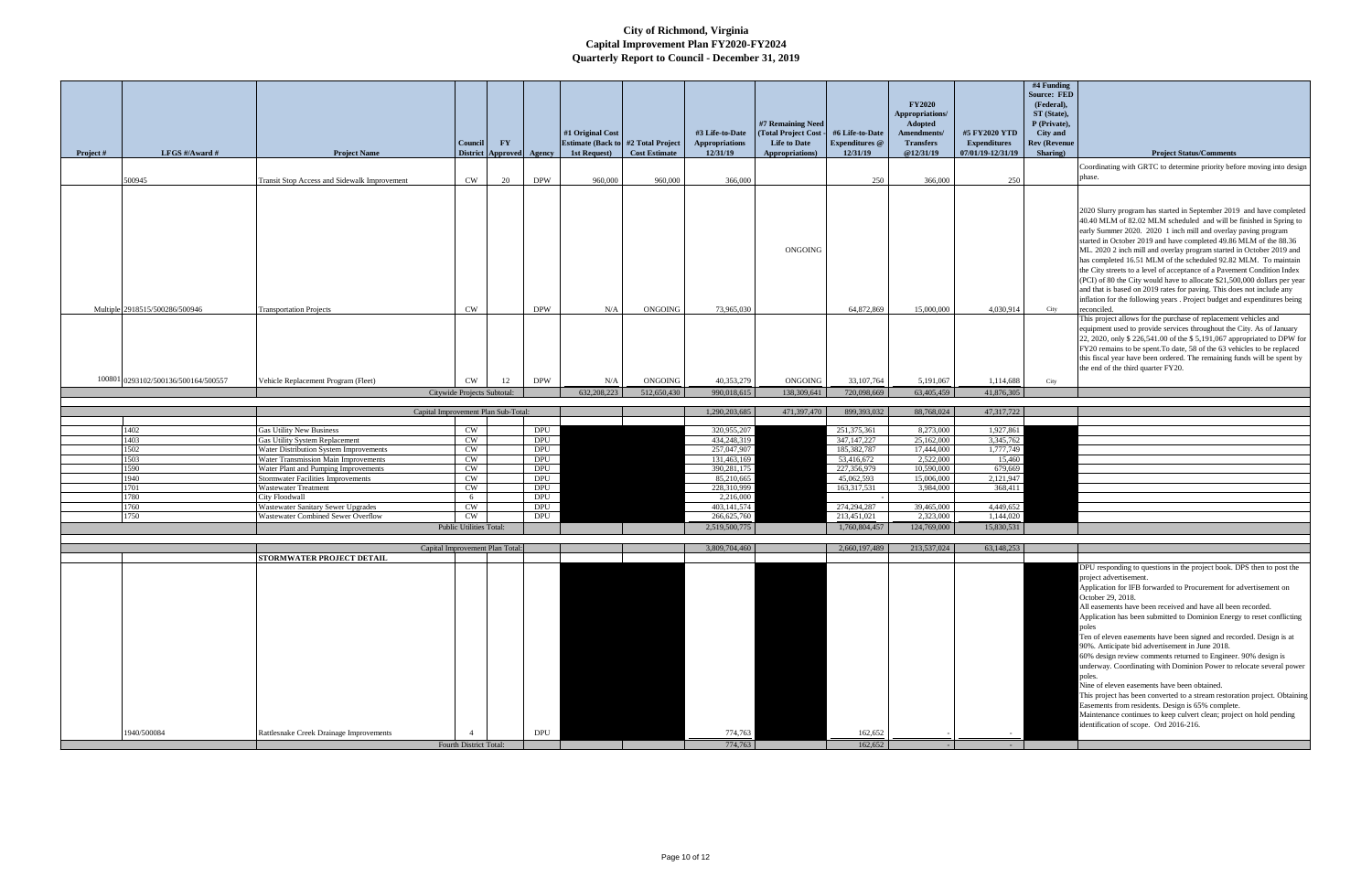|           |                                     |                                                                          |                             |                                 |                   |                                                                |                      |                                          | #7 Remaining Need                            |                                          | <b>FY2020</b><br>Appropriations/<br><b>Adopted</b> |                                      | #4 Funding<br><b>Source: FED</b><br>(Federal),<br>ST (State),<br>P (Private), |                                                                                                                                                                                                                                                                                                                                                                                                                                                                                                                                                                                                                                                                                                                                                                                                                                                                                                                                 |
|-----------|-------------------------------------|--------------------------------------------------------------------------|-----------------------------|---------------------------------|-------------------|----------------------------------------------------------------|----------------------|------------------------------------------|----------------------------------------------|------------------------------------------|----------------------------------------------------|--------------------------------------|-------------------------------------------------------------------------------|---------------------------------------------------------------------------------------------------------------------------------------------------------------------------------------------------------------------------------------------------------------------------------------------------------------------------------------------------------------------------------------------------------------------------------------------------------------------------------------------------------------------------------------------------------------------------------------------------------------------------------------------------------------------------------------------------------------------------------------------------------------------------------------------------------------------------------------------------------------------------------------------------------------------------------|
|           |                                     |                                                                          | Council                     | $\mathbf{F}\mathbf{Y}$          |                   | #1 Original Cost<br><b>Estimate (Back to #2 Total Project)</b> |                      | #3 Life-to-Date<br><b>Appropriations</b> | (Total Project Cost -<br><b>Life to Date</b> | #6 Life-to-Date<br><b>Expenditures</b> @ | Amendments/<br><b>Transfers</b>                    | #5 FY2020 YTD<br><b>Expenditures</b> | City and<br><b>Rev (Revenue</b>                                               |                                                                                                                                                                                                                                                                                                                                                                                                                                                                                                                                                                                                                                                                                                                                                                                                                                                                                                                                 |
| Project # | LFGS #/Award #                      | <b>Project Name</b>                                                      |                             | District Approved Agency        |                   | 1st Request)                                                   | <b>Cost Estimate</b> | 12/31/19                                 | Appropriations)                              | 12/31/19                                 | @12/31/19                                          | 07/01/19-12/31/19                    | Sharing)                                                                      | <b>Project Status/Comments</b><br>Coordinating with GRTC to determine priority before moving into design                                                                                                                                                                                                                                                                                                                                                                                                                                                                                                                                                                                                                                                                                                                                                                                                                        |
|           | 500945                              | Transit Stop Access and Sidewalk Improvement                             | CW                          | 20                              | <b>DPW</b>        | 960,000                                                        | 960,000              | 366,000                                  |                                              | 250                                      | 366,000                                            | 250                                  |                                                                               | phase.                                                                                                                                                                                                                                                                                                                                                                                                                                                                                                                                                                                                                                                                                                                                                                                                                                                                                                                          |
|           | Multiple 2918515/500286/500946      | <b>Transportation Projects</b>                                           | <b>CW</b>                   |                                 | <b>DPW</b>        | N/A                                                            | ONGOING              | 73,965,030                               | <b>ONGOING</b>                               | 64,872,869                               | 15,000,000                                         | 4,030,914                            | City                                                                          | 2020 Slurry program has started in September 2019 and have completed<br>40.40 MLM of 82.02 MLM scheduled and will be finished in Spring to<br>early Summer 2020. 2020 1 inch mill and overlay paving program<br>started in October 2019 and have completed 49.86 MLM of the 88.36<br>ML. 2020 2 inch mill and overlay program started in October 2019 and<br>has completed 16.51 MLM of the scheduled 92.82 MLM. To maintain<br>the City streets to a level of acceptance of a Pavement Condition Index<br>(PCI) of 80 the City would have to allocate \$21,500,000 dollars per year<br>and that is based on 2019 rates for paving. This does not include any<br>inflation for the following years . Project budget and expenditures being<br>reconciled.<br>This project allows for the purchase of replacement vehicles and                                                                                                   |
|           | 100801 0293102/500136/500164/500557 | Vehicle Replacement Program (Fleet)                                      | <b>CW</b>                   | 12                              | <b>DPW</b>        | N/A                                                            | ONGOING              | 40,353,279                               | <b>ONGOING</b>                               | 33, 107, 764                             | 5,191,067                                          | 1,114,688                            | City                                                                          | equipment used to provide services throughout the City. As of January<br>22, 2020, only \$ 226,541.00 of the \$ 5,191,067 appropriated to DPW for<br>FY20 remains to be spent. To date, 58 of the 63 vehicles to be replaced<br>this fiscal year have been ordered. The remaining funds will be spent by<br>the end of the third quarter FY20.                                                                                                                                                                                                                                                                                                                                                                                                                                                                                                                                                                                  |
|           |                                     |                                                                          | Citywide Projects Subtotal: |                                 |                   | 632,208,223                                                    | 512,650,430          | 990,018,615                              | 138,309,641                                  | 720,098,669                              | 63,405,459                                         | 41,876,305                           |                                                                               |                                                                                                                                                                                                                                                                                                                                                                                                                                                                                                                                                                                                                                                                                                                                                                                                                                                                                                                                 |
|           |                                     | Capital Improvement Plan Sub-Total:                                      |                             |                                 |                   |                                                                |                      | 1,290,203,685                            | 471,397,470                                  | 899,393,032                              | 88,768,024                                         | 47,317,722                           |                                                                               |                                                                                                                                                                                                                                                                                                                                                                                                                                                                                                                                                                                                                                                                                                                                                                                                                                                                                                                                 |
|           |                                     |                                                                          |                             |                                 |                   |                                                                |                      |                                          |                                              |                                          |                                                    |                                      |                                                                               |                                                                                                                                                                                                                                                                                                                                                                                                                                                                                                                                                                                                                                                                                                                                                                                                                                                                                                                                 |
|           | 1402<br>1403                        | <b>Gas Utility New Business</b><br><b>Gas Utility System Replacement</b> | CW<br>CW                    |                                 | DPU<br><b>DPU</b> |                                                                |                      | 320,955,207<br>434,248,319               |                                              | 251,375,361<br>347, 147, 227             | 8,273,000<br>25,162,000                            | 1,927,861<br>3,345,762               |                                                                               |                                                                                                                                                                                                                                                                                                                                                                                                                                                                                                                                                                                                                                                                                                                                                                                                                                                                                                                                 |
|           | 1502                                | Water Distribution System Improvements                                   | CW                          |                                 | DPU               |                                                                |                      | 257,047,907                              |                                              | 185,382,787                              | 17,444,000                                         | 1,777,749                            |                                                                               |                                                                                                                                                                                                                                                                                                                                                                                                                                                                                                                                                                                                                                                                                                                                                                                                                                                                                                                                 |
|           | 1503                                | Water Transmission Main Improvements                                     | CW                          |                                 | DPU               |                                                                |                      | 131,463,169                              |                                              | 53,416,672                               | 2,522,000                                          | 15,460                               |                                                                               |                                                                                                                                                                                                                                                                                                                                                                                                                                                                                                                                                                                                                                                                                                                                                                                                                                                                                                                                 |
|           | 1590<br>1940                        | Water Plant and Pumping Improvements                                     | CW<br>CW                    |                                 | DPU<br><b>DPU</b> |                                                                |                      | 390,281,175<br>85,210,665                |                                              | 227,356,979<br>45,062,593                | 10,590,000<br>15,006,000                           | 679,669<br>2,121,947                 |                                                                               |                                                                                                                                                                                                                                                                                                                                                                                                                                                                                                                                                                                                                                                                                                                                                                                                                                                                                                                                 |
|           | 1701                                | <b>Stormwater Facilities Improvements</b><br><b>Wastewater Treatment</b> | CW                          |                                 | DPU               |                                                                |                      | 228,310,999                              |                                              | 163,317,531                              | 3,984,000                                          | 368,411                              |                                                                               |                                                                                                                                                                                                                                                                                                                                                                                                                                                                                                                                                                                                                                                                                                                                                                                                                                                                                                                                 |
|           | 1780                                | <b>City Floodwall</b>                                                    | 6                           |                                 | DPU               |                                                                |                      | 2,216,000                                |                                              |                                          |                                                    |                                      |                                                                               |                                                                                                                                                                                                                                                                                                                                                                                                                                                                                                                                                                                                                                                                                                                                                                                                                                                                                                                                 |
|           | 1760                                | <b>Wastewater Sanitary Sewer Upgrades</b>                                | <b>CW</b>                   |                                 | DPU               |                                                                |                      | 403,141,574                              |                                              | 274,294,287                              | 39,465,000                                         | 4,449,652                            |                                                                               |                                                                                                                                                                                                                                                                                                                                                                                                                                                                                                                                                                                                                                                                                                                                                                                                                                                                                                                                 |
|           | 1750                                | Wastewater Combined Sewer Overflow                                       | <b>CW</b>                   |                                 | DPU               |                                                                |                      | 266,625,760                              |                                              | 213,451,021                              | 2,323,000                                          | 1,144,020                            |                                                                               |                                                                                                                                                                                                                                                                                                                                                                                                                                                                                                                                                                                                                                                                                                                                                                                                                                                                                                                                 |
|           |                                     |                                                                          | Public Utilities Total:     |                                 |                   |                                                                |                      | 2,519,500,775                            |                                              | 1,760,804,457                            | 124,769,000                                        | 15,830,531                           |                                                                               |                                                                                                                                                                                                                                                                                                                                                                                                                                                                                                                                                                                                                                                                                                                                                                                                                                                                                                                                 |
|           |                                     |                                                                          |                             | Capital Improvement Plan Total: |                   |                                                                |                      | 3,809,704,460                            |                                              | 2,660,197,489                            | 213,537,024                                        | 63,148,253                           |                                                                               |                                                                                                                                                                                                                                                                                                                                                                                                                                                                                                                                                                                                                                                                                                                                                                                                                                                                                                                                 |
|           |                                     | STORMWATER PROJECT DETAIL                                                |                             |                                 |                   |                                                                |                      |                                          |                                              |                                          |                                                    |                                      |                                                                               | DPU responding to questions in the project book. DPS then to post the<br>project advertisement.<br>Application for IFB forwarded to Procurement for advertisement on<br>October 29, 2018.<br>All easements have been received and have all been recorded.<br>Application has been submitted to Dominion Energy to reset conflicting<br>poles<br>Ten of eleven easements have been signed and recorded. Design is at<br>90%. Anticipate bid advertisement in June 2018.<br>60% design review comments returned to Engineer. 90% design is<br>underway. Coordinating with Dominion Power to relocate several power<br>poles.<br>Nine of eleven easements have been obtained.<br>This project has been converted to a stream restoration project. Obtaining<br>Easements from residents. Design is 65% complete.<br>Maintenance continues to keep culvert clean; project on hold pending<br>identification of scope. Ord 2016-216. |
|           | 1940/500084                         | Rattlesnake Creek Drainage Improvements                                  |                             |                                 | DPU               |                                                                |                      | 774,763                                  |                                              | 162,652                                  |                                                    |                                      |                                                                               |                                                                                                                                                                                                                                                                                                                                                                                                                                                                                                                                                                                                                                                                                                                                                                                                                                                                                                                                 |
|           |                                     |                                                                          | Fourth District Total:      |                                 |                   |                                                                |                      | 774,763                                  |                                              | 162,652                                  |                                                    |                                      |                                                                               |                                                                                                                                                                                                                                                                                                                                                                                                                                                                                                                                                                                                                                                                                                                                                                                                                                                                                                                                 |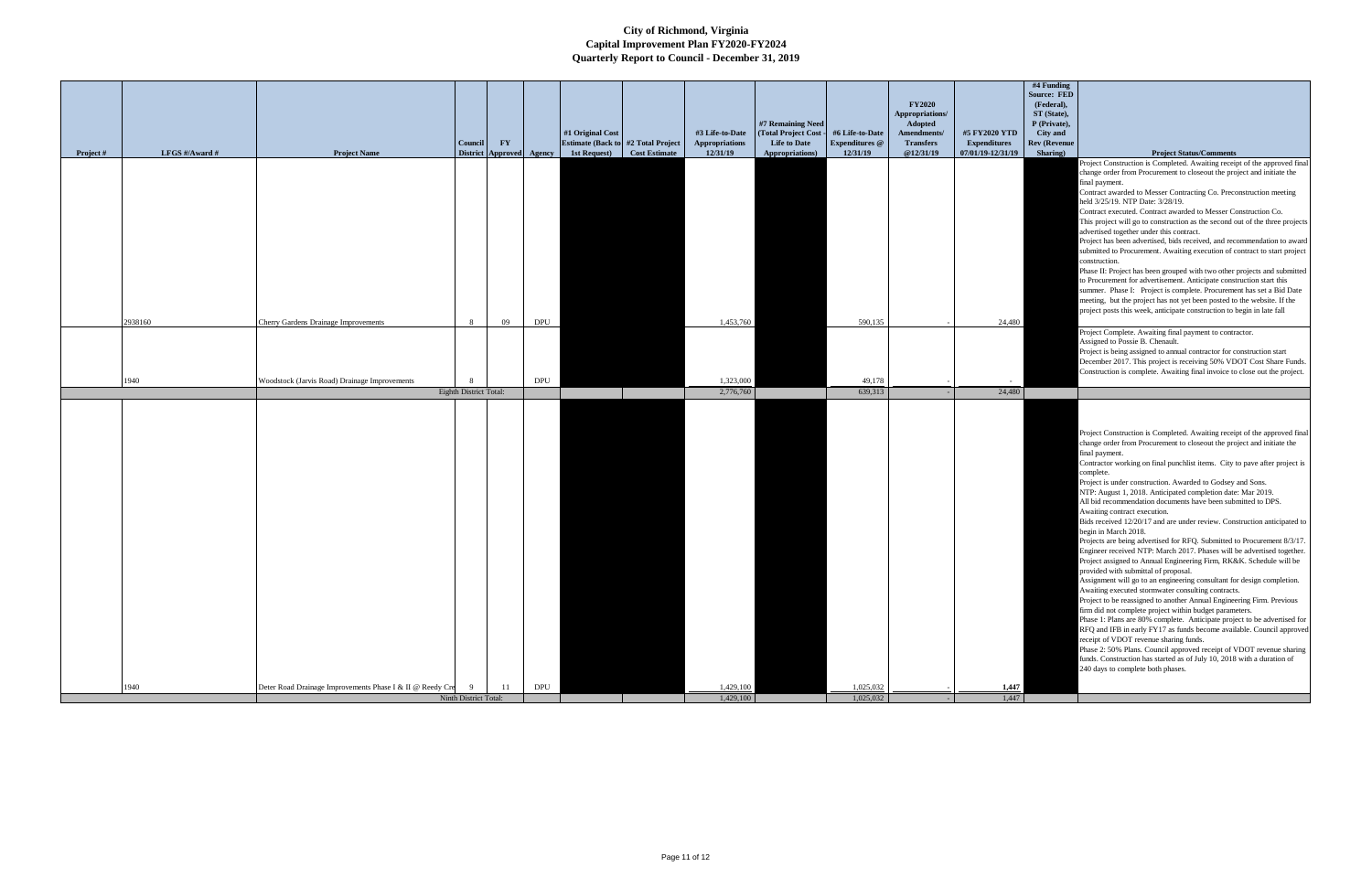| Project# | LFGS #/Award # | <b>Project Name</b>                                       | <b>Council</b>                            | $\mathbf{F}\mathbf{Y}$<br>District Approved Agency |                             | #1 Original Cost<br>Estimate (Back to #2 Total Project<br><b>Cost Estimate</b><br>1st Request) | #3 Life-to-Date<br>Appropriations<br>12/31/19 | #7 Remaining Need<br>(Total Project Cost -<br>Life to Date<br><b>Appropriations</b> ) | #6 Life-to-Date<br>Expenditures @<br>12/31/19 | <b>FY2020</b><br>Appropriations/<br>Adopted<br>Amendments/<br>$\label{eq:transfers} \textbf{Transfers}$<br>@12/31/19 | #5 FY2020 YTD<br><b>Expenditures</b><br>07/01/19-12/31/19 |
|----------|----------------|-----------------------------------------------------------|-------------------------------------------|----------------------------------------------------|-----------------------------|------------------------------------------------------------------------------------------------|-----------------------------------------------|---------------------------------------------------------------------------------------|-----------------------------------------------|----------------------------------------------------------------------------------------------------------------------|-----------------------------------------------------------|
|          |                |                                                           |                                           |                                                    |                             |                                                                                                |                                               |                                                                                       |                                               |                                                                                                                      |                                                           |
|          |                |                                                           |                                           |                                                    |                             |                                                                                                |                                               |                                                                                       |                                               |                                                                                                                      |                                                           |
|          |                |                                                           |                                           |                                                    |                             |                                                                                                |                                               |                                                                                       |                                               |                                                                                                                      |                                                           |
|          |                |                                                           |                                           |                                                    |                             |                                                                                                |                                               |                                                                                       |                                               |                                                                                                                      |                                                           |
|          |                |                                                           |                                           |                                                    |                             |                                                                                                |                                               |                                                                                       |                                               |                                                                                                                      |                                                           |
|          |                |                                                           |                                           |                                                    |                             |                                                                                                |                                               |                                                                                       |                                               |                                                                                                                      |                                                           |
|          |                |                                                           |                                           |                                                    |                             |                                                                                                |                                               |                                                                                       |                                               |                                                                                                                      |                                                           |
|          |                |                                                           |                                           |                                                    |                             |                                                                                                |                                               |                                                                                       |                                               |                                                                                                                      |                                                           |
|          | 2938160        | Cherry Gardens Drainage Improvements                      | $8\phantom{.}$                            | 09                                                 | DPU                         |                                                                                                | 1,453,760                                     |                                                                                       | 590,135                                       |                                                                                                                      | 24,480                                                    |
|          |                |                                                           |                                           |                                                    |                             |                                                                                                |                                               |                                                                                       |                                               |                                                                                                                      |                                                           |
|          |                |                                                           |                                           |                                                    |                             |                                                                                                |                                               |                                                                                       |                                               |                                                                                                                      |                                                           |
|          | 1940           | Woodstock (Jarvis Road) Drainage Improvements             | $8\phantom{.0}$<br>Eighth District Total: |                                                    | DPU                         |                                                                                                | 1,323,000<br>2,776,760                        |                                                                                       | 49,178<br>639,313                             |                                                                                                                      | $\sim$<br>24,480                                          |
|          |                |                                                           |                                           |                                                    |                             |                                                                                                |                                               |                                                                                       |                                               |                                                                                                                      |                                                           |
|          |                |                                                           |                                           |                                                    |                             |                                                                                                |                                               |                                                                                       |                                               |                                                                                                                      |                                                           |
|          |                |                                                           |                                           |                                                    |                             |                                                                                                |                                               |                                                                                       |                                               |                                                                                                                      |                                                           |
|          |                |                                                           |                                           |                                                    |                             |                                                                                                |                                               |                                                                                       |                                               |                                                                                                                      |                                                           |
|          |                |                                                           |                                           |                                                    |                             |                                                                                                |                                               |                                                                                       |                                               |                                                                                                                      |                                                           |
|          |                |                                                           |                                           |                                                    |                             |                                                                                                |                                               |                                                                                       |                                               |                                                                                                                      |                                                           |
|          |                |                                                           |                                           |                                                    |                             |                                                                                                |                                               |                                                                                       |                                               |                                                                                                                      |                                                           |
|          |                |                                                           |                                           |                                                    |                             |                                                                                                |                                               |                                                                                       |                                               |                                                                                                                      |                                                           |
|          |                |                                                           |                                           |                                                    |                             |                                                                                                |                                               |                                                                                       |                                               |                                                                                                                      |                                                           |
|          |                |                                                           |                                           |                                                    |                             |                                                                                                |                                               |                                                                                       |                                               |                                                                                                                      |                                                           |
|          |                |                                                           |                                           |                                                    |                             |                                                                                                |                                               |                                                                                       |                                               |                                                                                                                      |                                                           |
|          |                |                                                           |                                           |                                                    |                             |                                                                                                |                                               |                                                                                       |                                               |                                                                                                                      |                                                           |
|          |                |                                                           |                                           |                                                    |                             |                                                                                                |                                               |                                                                                       |                                               |                                                                                                                      |                                                           |
|          |                |                                                           |                                           |                                                    |                             |                                                                                                |                                               |                                                                                       |                                               |                                                                                                                      |                                                           |
|          | 1940           | Deter Road Drainage Improvements Phase I & II @ Reedy Cre | 9                                         | 11                                                 | $\ensuremath{\mathrm{DPU}}$ |                                                                                                | 1,429,100                                     |                                                                                       | 1,025,032                                     |                                                                                                                      | 1,447                                                     |
|          |                |                                                           | Ninth District Total:                     |                                                    |                             |                                                                                                | 1,429,100                                     |                                                                                       | 1,025,032                                     |                                                                                                                      | 1,447                                                     |

|     | #4 Funding           |                                                                                          |
|-----|----------------------|------------------------------------------------------------------------------------------|
|     | <b>Source: FED</b>   |                                                                                          |
|     | (Federal),           |                                                                                          |
|     | ST (State),          |                                                                                          |
|     | P (Private),         |                                                                                          |
| ГD  | <b>City and</b>      |                                                                                          |
| S   | <b>Rev (Revenue)</b> |                                                                                          |
| /19 | Sharing)             | <b>Project Status/Comments</b>                                                           |
|     |                      | Project Construction is Completed. Awaiting receipt of the approved final                |
|     |                      | change order from Procurement to closeout the project and initiate the                   |
|     |                      | final payment.                                                                           |
|     |                      | Contract awarded to Messer Contracting Co. Preconstruction meeting                       |
|     |                      | held 3/25/19. NTP Date: 3/28/19.                                                         |
|     |                      | Contract executed. Contract awarded to Messer Construction Co.                           |
|     |                      | This project will go to construction as the second out of the three projects             |
|     |                      | advertised together under this contract.                                                 |
|     |                      | Project has been advertised, bids received, and recommendation to award                  |
|     |                      | submitted to Procurement. Awaiting execution of contract to start project                |
|     |                      | construction.                                                                            |
|     |                      | Phase II: Project has been grouped with two other projects and submitted                 |
|     |                      | to Procurement for advertisement. Anticipate construction start this                     |
|     |                      | summer. Phase I: Project is complete. Procurement has set a Bid Date                     |
|     |                      | meeting, but the project has not yet been posted to the website. If the                  |
|     |                      | project posts this week, anticipate construction to begin in late fall                   |
| 480 |                      |                                                                                          |
|     |                      | Project Complete. Awaiting final payment to contractor.                                  |
|     |                      | Assigned to Possie B. Chenault.                                                          |
|     |                      | Project is being assigned to annual contractor for construction start                    |
|     |                      | December 2017. This project is receiving 50% VDOT Cost Share Funds.                      |
|     |                      | Construction is complete. Awaiting final invoice to close out the project.               |
|     |                      |                                                                                          |
| 480 |                      |                                                                                          |
|     |                      |                                                                                          |
|     |                      |                                                                                          |
|     |                      |                                                                                          |
|     |                      | Project Construction is Completed. Awaiting receipt of the approved final                |
|     |                      | change order from Procurement to closeout the project and initiate the<br>final payment. |
|     |                      | Contractor working on final punchlist items. City to pave after project is               |
|     |                      | complete.                                                                                |
|     |                      | Project is under construction. Awarded to Godsey and Sons.                               |
|     |                      | NTP: August 1, 2018. Anticipated completion date: Mar 2019.                              |
|     |                      | All bid recommendation documents have been submitted to DPS.                             |
|     |                      | Awaiting contract execution.                                                             |
|     |                      | Bids received 12/20/17 and are under review. Construction anticipated to                 |
|     |                      | begin in March 2018.                                                                     |
|     |                      | Projects are being advertised for RFQ. Submitted to Procurement 8/3/17.                  |
|     |                      | Engineer received NTP: March 2017. Phases will be advertised together.                   |
|     |                      | Project assigned to Annual Engineering Firm, RK&K. Schedule will be                      |
|     |                      | provided with submittal of proposal.                                                     |
|     |                      | Assignment will go to an engineering consultant for design completion.                   |
|     |                      | Awaiting executed stormwater consulting contracts.                                       |
|     |                      | Project to be reassigned to another Annual Engineering Firm. Previous                    |
|     |                      | firm did not complete project within budget parameters.                                  |
|     |                      | Phase 1: Plans are 80% complete. Anticipate project to be advertised for                 |
|     |                      | RFQ and IFB in early FY17 as funds become available. Council approved                    |
|     |                      | receipt of VDOT revenue sharing funds.                                                   |
|     |                      | Phase 2: 50% Plans. Council approved receipt of VDOT revenue sharing                     |
|     |                      | funds. Construction has started as of July 10, 2018 with a duration of                   |
|     |                      | 240 days to complete both phases.                                                        |
|     |                      |                                                                                          |
| 447 |                      |                                                                                          |
|     |                      |                                                                                          |